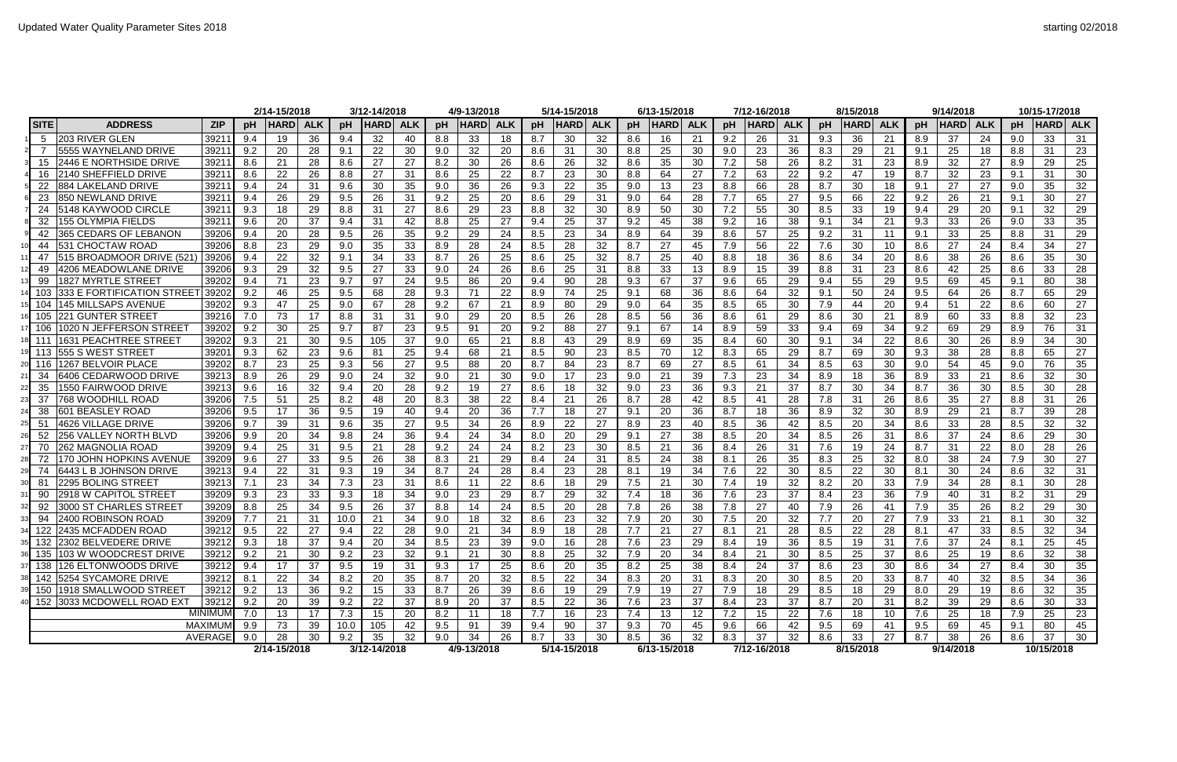|                                       |                                 |                  | 2/14-15/2018 |            |      | 3/12-14/2018 |            |     | 4/9-13/2018 |            |     | 5/14-15/2018 |            |                  | 6/13-15/2018 |                   |     | 7/12-16/2018 |            |     | 8/15/2018   |            |     | 9/14/2018   |            |     | 10/15-17/2018 |            |
|---------------------------------------|---------------------------------|------------------|--------------|------------|------|--------------|------------|-----|-------------|------------|-----|--------------|------------|------------------|--------------|-------------------|-----|--------------|------------|-----|-------------|------------|-----|-------------|------------|-----|---------------|------------|
| <b>SITE</b><br><b>ADDRESS</b>         | <b>ZIP</b>                      | <b>DH</b>        | <b>HARD</b>  | <b>ALK</b> | pH   | <b>HARDI</b> | <b>ALK</b> | pH  | <b>HARD</b> | <b>ALK</b> | pH  | <b>HARD</b>  | <b>ALK</b> | pH               | <b>HARD</b>  | <b>ALK</b>        | pH  | <b>HARD</b>  | <b>ALK</b> | pH  | <b>HARD</b> | <b>ALK</b> | pH  | <b>HARD</b> | <b>ALK</b> | pH  | <b>HARD</b>   | <b>ALK</b> |
| <b>203 RIVER GLEN</b><br>-5           | 3921                            | 9.4              | 19           | 36         | 9.4  | 32           | 40         | 8.8 | 33          | 18         | 8.7 | 30           | 32         | 8.6              | 16           | 21                | 9.2 | 26           | 31         | 9.3 | 36          | 21         | 8.9 | 37          | 24         | 9.0 | 33            | 31         |
| 5555 WAYNELAND DRIVE                  | 3921                            | 9.2              | 20           | 28         | 9.1  | 22           | 30         | 9.0 | 32          | 20         | 8.6 | 31           | 30         | 8.8              | 25           | 30                | 9.0 | 23           | 36         | 8.3 | 29          | 21         | 9.1 | 25          | 18         | 8.8 | 31            | 23         |
| <b>2446 E NORTHSIDE DRIVE</b><br>15   | 3921                            | 8.6              | 21           | 28         | 8.6  | 27           | 27         | 8.2 | 30          | 26         | 8.6 | 26           | 32         | 8.6              | 35           | 30                | 7.2 | 58           | 26         | 8.2 | 31          | 23         | 8.9 | 32          | 27         | 8.9 | 29            | 25         |
| 2140 SHEFFIELD DRIVE                  | 3921                            | 8.6              | 22           | 26         | 8.8  | 27           | 31         | 8.6 | 25          | 22         | 8.7 | 23           | 30         | 8.8              | 64           | 27                | 7.2 | 63           | 22         | 9.2 | 47          | 19         | 8.7 | 32          | 23         | 9.1 | 31            | 30         |
| 884 LAKELAND DRIVE                    | 3921                            | 9.4              | 24           | 31         | 9.6  | 30           | 35         | 9.0 | 36          | 26         | 9.3 | 22           | 35         | 9.0              | 13           | 23                | 8.8 | 66           | 28         | 8.7 | 30          | 18         | 9.1 | 27          | 27         | 9.0 | 35            | 32         |
| <b>850 NEWLAND DRIVE</b><br>23        | 3921                            | 9.4              | 26           | 29         | 9.5  | 26           | 31         | 9.2 | 25          | 20         | 8.6 | 29           | 31         | 9.0              | 64           | 28                | 7.7 | 65           | 27         | 9.5 | 66          | 22         | 9.2 | 26          | 21         | 9.1 | 30            | 27         |
| 5148 KAYWOOD CIRCLE<br>24             | 3921                            | 9.3              | 18           | 29         | 8.8  | 31           | 27         | 8.6 | 29          | 23         | 8.8 | 32           | 30         | 8.9              | 50           | 30                | 7.2 | 55           | 30         | 8.5 | 33          | 19         | 9.4 | 29          | 20         | 9.1 | 32            | 29         |
| 155 OLYMPIA FIELDS<br>32              | 3921                            | 9.6              | 20           | 37         | 9.4  | 31           | 42         | 8.8 | 25          | 27         | 9.4 | 25           | 37         | 9.2              | 45           | 38                | 9.2 | 16           | 38         | 9.1 | 34          | 21         | 9.3 | 33          | 26         | 9.0 | 33            | 35         |
| <b>365 CEDARS OF LEBANON</b><br>42    | 3920                            | 9.4              | 20           | 28         | 9.5  | 26           | 35         | 9.2 | 29          | 24         | 8.5 | 23           | 34         | 8.9              | 64           | 39                | 8.6 | 57           | 25         | 9.2 | 31          | 11         | 9.1 | 33          | 25         | 8.8 | 31            | 29         |
| 531 CHOCTAW ROAD<br>44                | 3920                            | 8.8              | 23           | 29         | 9.0  | 35           | 33         | 8.9 | 28          | 24         | 8.5 | 28           | 32         | 8.7              | 27           | 45                | 7.9 | 56           | 22         | 7.6 | 30          | 10         | 8.6 | 27          | 24         | 8.4 | 34            | 27         |
| 515 BROADMOOR DRIVE (521<br>47        | 3920                            | 9.4              | 22           | 32         | 9.1  | 34           | 33         | 8.7 | 26          | 25         | 8.6 | 25           | 32         | 8.7              | 25           | 40                | 8.8 | 18           | 36         | 8.6 | 34          | 20         | 8.6 | 38          | 26         | 8.6 | 35            | 30         |
| 4206 MEADOWLANE DRIVE                 | 3920                            | 9.3              | 29           | 32         | 9.5  | 27           | 33         | 9.0 | 24          | 26         | 8.6 | 25           | 31         | 8.8              | 33           | 13                | 8.9 | 15           | 39         | 8.8 | 31          | 23         | 8.6 | 42          | 25         | 8.6 | 33            | 28         |
| 1827 MYRTLE STREET<br>99              | 3920                            | 9.4              | 71           | 23         | 9.7  | 97           | 24         | 9.5 | 86          | 20         | 9.4 | 90           | 28         | 9.3              | 67           | 37                | 9.6 | 65           | 29         | 9.4 | 55          | 29         | 9.5 | 69          | 45         | 9.1 | 80            | 38         |
| 333 E FORTIFICATION STREET            | 3920                            | 9.2              | 46           | 25         | 9.5  | 68           | 28         | 9.3 | 71          | 22         | 8.9 | 74           | 25         | 9.1              | 68           | 36                | 8.6 | 64           | 32         | 9.1 | 50          | 24         | 9.5 | 64          | 26         | 8.7 | 65            | 29         |
| <b>145 MILLSAPS AVENUE</b>            | 3920                            | 9.3              | 47           | 25         | 9.0  | 67           | 28         | 9.2 | 67          | 21         | 8.9 | 80           | 29         | 9.0              | 64           | 35                | 8.5 | 65           | 30         | 7.9 | 44          | 20         | 9.4 | 51          | 22         | 8.6 | 60            | 27         |
| 221 GUNTER STREET<br>105              | 39216                           | 7.0              | 73           | 17         | 8.8  | 31           | 31         | 9.0 | 29          | 20         | 8.5 | 26           | 28         | 8.5              | 56           | 36                | 8.6 | 61           | 29         | 8.6 | 30          | 21         | 8.9 | 60          | 33         | 8.8 | 32            | 23         |
| 1020 N JEFFERSON STREET               | 3920                            | 9.2              | 30           | 25         | 9.7  | 87           | 23         | 9.5 | 91          | 20         | 9.2 | 88           | 27         | 9.1              | 67           | 14                | 8.9 | 59           | 33         | 9.4 | 69          | 34         | 9.2 | 69          | 29         | 8.9 | 76            | 31         |
| <b>1631 PEACHTREE STREET</b>          | 3920                            | 9.3              | 21           | 30         | 9.5  | 105          | 37         | 9.0 | 65          | 21         | 8.8 | 43           | 29         | 8.9              | 69           | 35                | 8.4 | 60           | 30         | 9.1 | 34          | 22         | 8.6 | 30          | 26         | 8.9 | 34            | 30         |
| l555 S WEST STREE <sup>-</sup><br>113 | 3920                            | 9.3              | 62           | 23         | 9.6  | 81           | 25         | 9.4 | 68          | 21         | 8.5 | 90           | 23         | 8.5              |              | $12 \overline{ }$ | 8.3 | 65           | 29         | 8.7 | 69          | 30         | 9.3 | 38          | 28         | 8.8 | 65            | 27         |
| 1267 BELVOIR PLACE<br>116             | 3920                            | 8.7              | 23           | 25         | 9.3  | 56           | 27         | 9.5 | 88          | 20         | 8.7 | 84           | 23         | 8.7              | 69           | 27                | 8.5 | 61           | 34         | 8.5 | 63          | 30         | 9.0 | 54          | 45         | 9.0 | 76            | 35         |
| 6406 CEDARWOOD DRIVE<br>34            | 3921                            | 8.9              | 26           | 29         | 9.0  | 24           | 32         | 9.0 | 21          | 30         | 9.0 | 17           | 23         | 9.0              | 21           | 39                | 7.3 | 23           | 34         | 8.9 | 18          | 36         | 8.9 | 33          | 21         | 8.6 | 32            | 30         |
| 1550 FAIRWOOD DRIVE<br>35             | 3921                            | 9.6              | 16           | 32         | 9.4  | 20           | 28         | 9.2 | 19          | 27         | 8.6 | 18           | 32         | 9.0              | 23           | 36                | 9.3 | 21           | 37         | 8.7 | 30          | 34         | 8.7 | 36          | 30         | 8.5 | 30            | 28         |
| 37<br>768 WOODHILL ROAD               | 3920                            | 7.5              | 51           | 25         | 8.2  | 48           | 20         | 8.3 | 38          | 22         | 8.4 | 21           | 26         | 8.7              | 28           | 42                | 8.5 | 41           | 28         | 7.8 | 31          | 26         | 8.6 | 35          | 27         | 8.8 | 31            | 26         |
| 601 BEASLEY ROAD<br>38                | 3920                            | 9.5              | 17           | 36         | 9.5  | 19           | 40         | 9.4 | 20          | 36         | 7.7 | 18           | 27         | 9.1              | 20           | 36                | 8.7 | 18           | 36         | 8.9 | 32          | 30         | 8.9 | 29          | 21         | 8.7 | 39            | 28         |
| 4626 VILLAGE DRIVE<br>51              | 3920                            | 9.7              | 39           | 31         | 9.6  | 35           | 27         | 9.5 | 34          | 26         | 8.9 | 22           | 27         | 8.9              | 23           | 40                | 8.5 | 36           | 42         | 8.5 | 20          | 34         | 8.6 | 33          | 28         | 8.5 | 32            | 32         |
| 256 VALLEY NORTH BLVD<br>52           | 3920                            | 9.9              | 20           | 34         | 9.8  | 24           | 36         | 9.4 | 24          | 34         | 8.0 | 20           | 29         | 9.1              | 27           | 38                | 8.5 | 20           | 34         | 8.5 | 26          | 31         | 8.6 | 37          | 24         | 8.6 | 29            | 30         |
| 262 MAGNOLIA ROAD<br>70               | 3920                            | 9.4              | 25           | 31         | 9.5  | 21           | 28         | 9.2 | 24          | 24         | 8.2 | 23           | 30         | 8.5              | 21           | 36                | 8.4 | 26           | 31         | 7.6 | 19          | 24         | 8.7 | 31          | 22         | 8.0 | 28            | 26         |
| 70 JOHN HOPKINS AVENUE<br>72          | 3920                            | 9.6              | 27           | 33         | 9.5  | 26           | 38         | 8.3 | 21          | 29         | 8.4 | 24           | 31         | 8.5              | 24           | 38                | 8.1 | 26           | 35         | 8.3 | 25          | 32         | 8.0 | 38          | 24         | 7.9 | 30            | 27         |
| 6443 L B JOHNSON DRIVE<br>74          | 3921                            | 9.4              | 22           | 31         | 9.3  | 19           | 34         | 8.7 | 24          | 28         | 8.4 | 23           | 28         | 8.1              | 19           | 34                | 7.6 | 22           | 30         | 8.5 | 22          | 30         | 8.1 | 30          | 24         | 8.6 | 32            | 31         |
| 2295 BOLING STREET<br>-81             | 39213                           |                  | 23           | 34         | 7.3  | 23           | 31         | 8.6 | 11          | 22         | 8.6 | 18           | 29         | 7.5              | 21           | 30                | 7.4 | 19           | 32         | 8.2 | 20          | 33         | 7.9 | 34          | 28         | 8.1 | 30            | 28         |
| 90 2918 W CAPITOL STREET              | 39209 9.3                       |                  | 23           | 33         | 9.3  | 18           | 34         | 9.0 | 23          | 29         | 8.7 | 29           | 32         | $\overline{7.4}$ | 18           | 36                | 7.6 | 23           | 37         | 8.4 | 23          | 36         | 7.9 | 40          | 31         | 8.2 | 31            | 29         |
| 92 3000 ST CHARLES STREET             | 39209                           | 8.8              | 25           | 34         | 9.5  | 26           | 37         | 8.8 | 14          | 24         | 8.5 | 20           | 28         | 7.8              | 26           | 38                | 7.8 | 27           | 40         | 7.9 | 26          | 41         | 7.9 | 35          | 26         | 8.2 | 29            | 30         |
| 94 2400 ROBINSON ROAD                 | 39209                           | $\overline{7.7}$ | 21           | 31         | 10.0 | 21           | 34         | 9.0 | 18          | 32         | 8.6 | 23           | 32         | 7.9              | 20           | 30                | 7.5 | 20           | 32         | 7.7 | 20          | 27         | 7.9 | 33          | 21         | 8.1 | 30            | 32         |
| 122 2435 MCFADDEN ROAD                | 39212                           | 9.5              | 22           | 27         | 9.4  | 22           | 28         | 9.0 | 21          | 34         | 8.9 | 18           | 28         | 7.7              | 21           | 27                | 8.1 | 21           | 28         | 8.5 | 22          | 28         | 8.1 | 47          | 33         | 8.5 | 32            | 34         |
| 35 132 2302 BELVEDERE DRIVE           | 39212                           | 9.3              | 18           | 37         | 9.4  | 20           | 34         | 8.5 | 23          | 39         | 9.0 | 16           | 28         | 7.6              | 23           | 29                | 8.4 | 19           | 36         | 8.5 | 19          | 31         | 7.6 | 37          | 24         | 8.1 | 25            | 45         |
| 36 135 103 W WOODCREST DRIVE          | 39212                           | 9.2              | 21           | 30         | 9.2  | 23           | 32         | 9.1 | 21          | 30         | 8.8 | 25           | 32         | 7.9              | 20           | 34                | 8.4 | 21           | 30         | 8.5 | 25          | 37         | 8.6 | 25          | 19         | 8.6 | 32            | 38         |
| 138 126 ELTONWOODS DRIVE              | 39212                           | 9.4              | 17           | 37         | 9.5  | 19           | 31         | 9.3 | 17          | 25         | 8.6 | 20           | 35         | 8.2              | 25           | 38                | 8.4 | 24           | 37         | 8.6 | 23          | 30         | 8.6 | 34          | 27         | 8.4 | 30            | 35         |
| 38 142 5254 SYCAMORE DRIVE            | 39212                           | 8.1              | 22           | 34         | 8.2  | 20           | 35         | 8.7 | 20          | 32         | 8.5 | 22           | 34         | 8.3              | 20           | 31                | 8.3 | 20           | 30         | 8.5 | 20          | 33         | 8.7 | 40          | 32         | 8.5 | 34            | 36         |
| 150 1918 SMALLWOOD STREET             | 39212                           | 9.2              | 13           | 36         | 9.2  | 15           | 33         | 8.7 | 26          | 39         | 8.6 | 19           | 29         | 7.9              | 19           | 27                | 7.9 | 18           | 29         | 8.5 | 18          | 29         | 8.0 | 29          | 19         | 8.6 | 32            | 35         |
| 40 152 3033 MCDOWELL ROAD EXT         | 39212                           | 9.2              | 20           | 39         | 9.2  | 22           | 37         | 8.9 | 20          | 37         | 8.5 | 22           | 36         | 7.6              | 23           | 37                | 8.4 | 23           | 37         | 8.7 | 20          | 31         | 8.2 | 39          | 29         | 8.6 | 30            | 33         |
|                                       | $\overline{\text{MINIMUM}}$ 7.0 |                  | 13           | 17         | 7.3  | 15           | 20         | 8.2 | 11          | 18         | 7.7 | 16           | 23         | 7.4              | 13           | 12                | 7.2 | 15           | 22         | 7.6 | 18          | 10         | 7.6 | 25          | 18         | 7.9 | 25            | 23         |
|                                       | MAXIMUM 9.9                     |                  | 73           | 39         | 10.0 | 105          | 42         | 9.5 | 91          | 39         | 9.4 | 90           | 37         | 9.3              | 70           | 45                | 9.6 | 66           | 42         | 9.5 | 69          | 41         | 9.5 | 69          | 45         | 9.1 | 80            | 45         |
|                                       | AVERAGE                         | 9.0              | 28           | 30         | 9.2  | 35           | 32         | 9.0 | 34          | 26         | 8.7 | 33           | 30         | 8.5              | 36           | 32                | 8.3 | 37           | 32         | 8.6 | 33          | 27         | 8.7 | 38          | 26         | 8.6 | 37            | 30         |
|                                       |                                 |                  | 2/14-15/2018 |            |      | 3/12-14/2018 |            |     | 4/9-13/2018 |            |     | 5/14-15/2018 |            |                  | 6/13-15/2018 |                   |     | 7/12-16/2018 |            |     | 8/15/2018   |            |     | 9/14/2018   |            |     | 10/15/2018    |            |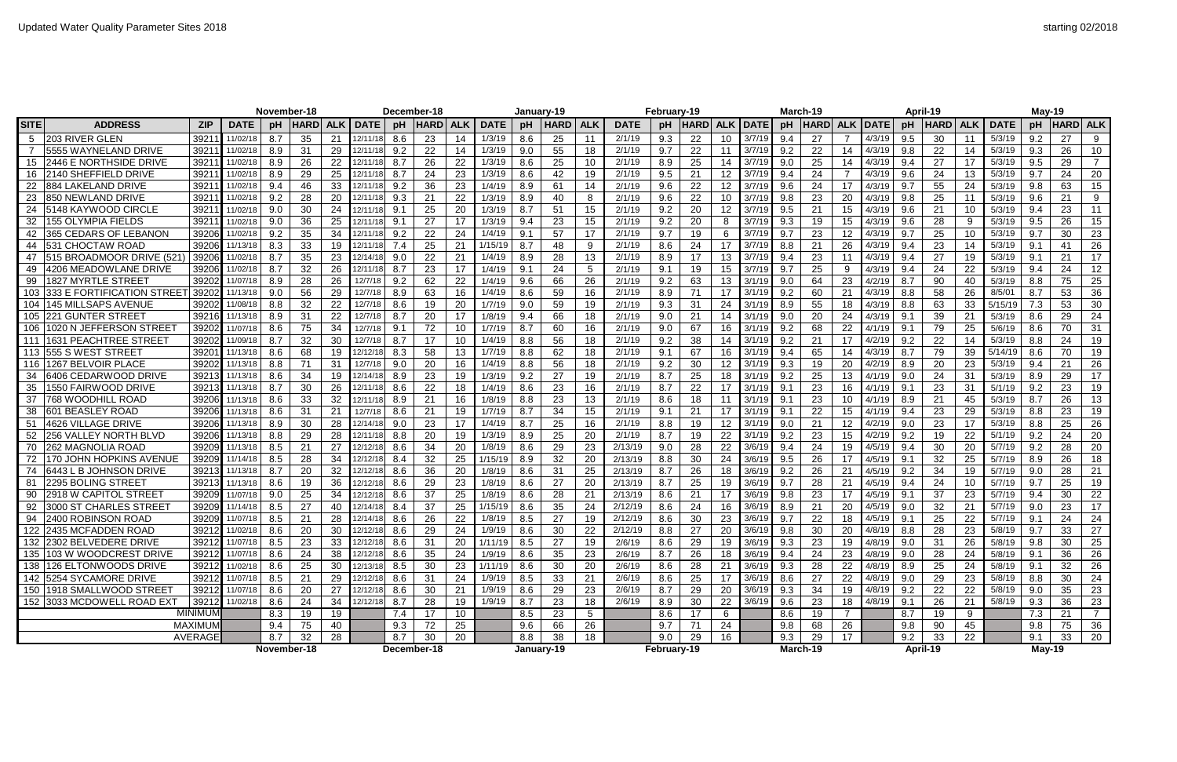|                |                               |                   |                    | November-18       |            |             |              | December-18 |            |             |               | January-19  |                 |                 | February-19 |             |    |                 | March-19        |             |            |                |              | April-19    |            |             | May-19       |                                    |                 |                             |
|----------------|-------------------------------|-------------------|--------------------|-------------------|------------|-------------|--------------|-------------|------------|-------------|---------------|-------------|-----------------|-----------------|-------------|-------------|----|-----------------|-----------------|-------------|------------|----------------|--------------|-------------|------------|-------------|--------------|------------------------------------|-----------------|-----------------------------|
| <b>SITE</b>    | <b>ADDRESS</b>                | <b>DATE</b>       | pH                 | <b>HARD</b>       | <b>ALK</b> | <b>DATE</b> | pH           | <b>HARD</b> | <b>ALK</b> | <b>DATE</b> | pH            | <b>HARD</b> | <b>ALK</b>      | <b>DATE</b>     | pH          | <b>HARD</b> |    | <b>ALK DATE</b> | pH              | <b>HARD</b> | <b>ALK</b> | <b>DATE</b>    | рH           | <b>HARD</b> | <b>ALK</b> | <b>DATE</b> | pH           | HARD  ALK                          |                 |                             |
|                | <b>203 RIVER GLEN</b>         | 3921              | 11/02/18           | 8.7               | 35         | 21          | 12/11/18     | 8.6         | 23         | 14          | 1/3/19        | 8.6         | 25              | 11              | 2/1/19      | 9.3         | 22 | 10              | 3/7/19          | 9.4         | 27         |                | 4/3/19       | 9.5         | 30         |             | 5/3/19       | 9.2                                | 27              | 9                           |
| $\overline{7}$ | 5555 WAYNELAND DRIVE          | 3921              | 11/02/18           | 8.9               | 31         | 29          | 12/11/18     | 9.2         | 22         | 14          | 1/3/19        | 9.0         | 55              | 18              | 2/1/19      | 9.7         | 22 | 11              | 3/7/19          | 9.2         | 22         |                | 4/3/19       | 9.8         | 22         | 14          | 5/3/19       | 9.3                                | 26              | 10 <sup>°</sup>             |
| 15             | <b>2446 E NORTHSIDE DRIVE</b> | 3921              | 11/02/18           | 8.9               | 26         | 22          | 12/11/18     | 8.7         | 26         | 22          | 1/3/19        | 8.6         | 25              | 10 <sup>1</sup> | 2/1/19      | 8.9         | 25 | 14              | 3/7/19          | 9.0         | 25         |                | 4/3/19       | 9.4         | 27         |             | 5/3/19       | 9.5                                | 29              |                             |
| 16             | 2140 SHEFFIELD DRIVE          | 3921              | 11/02/18           | 8.9               | 29         | 25          | 12/11/18     | 8.7         | 24         | 23          | 1/3/19        | 8.6         | 42              | 19              | 2/1/19      | 9.5         | 21 | 12              | 3/7/19          | 9.4         | 24         |                | 4/3/19       | 9.6         | 24         | 13          | 5/3/19       | 9.7                                | 24              | 20                          |
| 22             | <b>884 LAKELAND DRIVE</b>     | 3921              | 11/02/18           | 9.4               | 46         | 33          | 12/11/18     | 9.2         | 36         | 23          | 1/4/19        | 8.9         | 61              | 14              | 2/1/19      | 9.6         | 22 | 12              | 3/7/19          | 9.6         | 24         | 17             | 4/3/19       | 9.7         | 55         | 24          | 5/3/19       | 9.8                                | 63              | 15                          |
| 23             | 850 NEWLAND DRIVE             | 3921              | 11/02/18           | 9.2               | 28         | 20          | 12/11/18     | 9.3         | 21         | 22          | 1/3/19        | 8.9         | 40              | 8               | 2/1/19      | 9.6         | 22 | 10              | 3/7/19          | 9.8         | 23         | 20             | 4/3/19       | 9.8         | 25         |             | 5/3/19       | 9.6                                | 21              | 9                           |
| 24             | <b>15148 KAYWOOD CIRCLE</b>   | 3921              | 11/02/18           | 9.0               | 30         | 24          | 12/11/18     | 9.1         | 25         | 20          | 1/3/19        | 8.7         | 51              | 15              | 2/1/19      | 9.2         | 20 | 12              | 3/7/19          | 9.5         | 21         | 15             | 4/3/19       | 9.6         | 21         | 10          | 5/3/19       | 9.4                                | 23              | 11                          |
| 32             | 155 OLYMPIA FIELDS            | 3921              | 11/02/18           | 9.0               | 36         | 25          | 12/11/18     | 9.1         | 27         | 17          | 1/3/19        | 9.4         | 23              | 15              | 2/1/19      | 9.2         | 20 | 8               | 3/7/19          | 9.3         | 19         |                | 4/3/19       | 9.6         | 28         | -9          | 5/3/19       | 9.5                                | 26              | 15                          |
|                | 365 CEDARS OF LEBANON         | 39206             | 11/02/18           | 9.2               | 35         | 34          | 12/11/18     | 9.2         | 22         | 24          | 1/4/19        | 9.1         | 57              | 17              | 2/1/19      | 9.7         | 19 | 6               | 3/7/19          | 9.7         | 23         | 12             | 4/3/19       | 9.7         | 25         | 10          | 5/3/19       | 9.7                                | 30              | 23                          |
| 44             | 531 CHOCTAW ROAD              | 39206             | 11/13/18           | 8.3               | 33         | 19          | 12/11/18     | 7.4         | 25         | 21          | 1/15/19       | 8.7         | 48              | 9               | 2/1/19      | 8.6         | 24 | 17              | 3/7/19          | 8.8         | 21         | 26             | 4/3/19       | 9.4         | 23         | 14          | 5/3/19       | 9.1                                | -41             | 26                          |
| 47             | 515 BROADMOOR DRIVE (521      | 39206             | 11/02/18           | 8.7               | 35         | 23          | 12/14/18     | 9.0         | 22         | 21          | 1/4/19        | 8.9         | 28              | 13              | 2/1/19      | 8.9         | 17 | 13              | 3/7/19          | 9.4         | 23         | 11             | 4/3/19       | 9.4         | 27         | 19          | 5/3/19       | 9.1                                | 21              | 17                          |
|                | 4206 MEADOWLANE DRIVE         | 39206             | 11/02/18           | 8.7               | 32         | 26          | 12/11/18     | 8.7         | 23         | 17          | 1/4/19        | 9.1         | 24              | 5               | 2/1/19      | 9.1         | 19 | 15              | 3/7/19          | 9.7         | 25         |                | 4/3/19       | 9.4         | 24         | 22          | 5/3/19       | 9.4                                | 24              | 12                          |
| 99             | 1827 MYRTLE STREET            | 39202             | 11/07/18           | 8.9               | 28         | 26          | 12/7/18      | 9.2         | 62         | 22          | 1/4/19        | 9.6         | 66              | 26              | 2/1/19      | 9.2         | 63 | 13              | 3/1/19          | 9.0         | -64        | 23             | 4/2/19       | 8.7         | 90         | 40          | 5/3/19       | 8.8                                | 75              | 25                          |
| 103            | 333 E FORTIFICATION STREET    | 39202             | 11/13/18           | 9.0               | 56         | 29          | 12/7/18      | 8.9         | 63         | 16          | 1/4/19        | 8.6         | 59              | 16              | 2/1/19      | 8.9         | 71 | 17              | 3/1/19          | 9.2         | 60         | 21             | 4/3/19       | 8.8         | 58         | 26          | 8/5/01       | 8.7                                | 53              | 36                          |
| 104            | 145 MILLSAPS AVENUE           | 39202             | 11/08/18           | 8.8               | 32         | 22          | 12/7/18      | 8.6         | 19         | 20          | 1/7/19        | 9.0         | 59              | 19              | 2/1/19      | 9.3         | 31 | 24              | 3/1/19          | 8.9         | 55         |                | 4/3/19       | 8.8         | 63         | 33          | 5/15/19      | 7.3                                | 53              | 30                          |
| 105            | 221 GUNTER STREET             | 39216             | 11/13/18           | 8.9               | 31         | 22          | 12/7/18      | 8.7         | 20         | 17          | 1/8/19        | 9.4         | 66              | 18              | 2/1/19      | 9.0         | 21 | 14              | 3/1/19          | 9.0         | 20         | 24             | 4/3/19       | 9.1         | 39         | 21          | 5/3/19       | 8.6                                | 29              | 24                          |
| 106            | 1020 N JEFFERSON STREET       | 3920              | 11/07/18           | 8.6               | 75         | 34          | 12/7/18      | 9.1         | 72         | 10          | 1/7/19        | 8.7         | 60              | 16              | 2/1/19      | 9.0         | 67 | 16              | 3/1/19          | 9.2         | 68         | 22             | 4/1/19       | 9.1         | 79         | 25          | 5/6/19       | 8.6                                | 70              | 31                          |
| 111            | 1631 PEACHTREE STREET         | 39202             | 11/09/18           | 8.7               | 32         | 30          | 12/7/18      | 8.7         | 17         | 10          | 1/4/19        | 8.8         | 56              | 18              | 2/1/19      | 9.2         | 38 | 14              | 3/1/19          | 9.2         | 21         | 17             | 4/2/19       | 9.2         | 22         | 14          | 5/3/19       | 8.8                                | 24              | 19                          |
|                | 113 555 S WEST STREET         | 3920 <sup>-</sup> | 11/13/18           | 8.6               | 68         | -19         | 12/12/18     | 8.3         | 58         | 13          | 1/7/19        | 8.8         | 62              | 18              | 2/1/19      | 9.1         | 67 | 16              | 3/1/19          | 9.4         | 65         |                | 4/3/19       | 8.7         | 79         | 39          | 5/14/19      | 8.6                                | 70              | 19                          |
| 116            | 1267 BELVOIR PLACE            | 39202             | 11/13/18           | 8.8               | 71         | 31          | 12/7/18      | 9.0         | 20         | 16          | 1/4/19        | 8.8         | 56              | 18              | 2/1/19      | 9.2         | 30 | 12              | 3/1/19          | 9.3         | 19         | 20             | 4/2/19       | 8.9         | 20         | 23          | 5/3/19       | 9.4                                | 21              | 26                          |
| 34             | 6406 CEDARWOOD DRIVE          | 39213             | 11/13/18           | 8.6               | 34         | 19          | 12/14/18     | 8.9         | 23         | 19          | 1/3/19        | 9.2         | 27              | 19              | 2/1/19      | 8.7         | 25 | 18              | 3/1/19          | 9.2         | 25         | 13             | 4/1/19       | 9.0         | 24         | 31          | 5/3/19       | 8.9                                | 29              | 17                          |
| 35             | 1550 FAIRWOOD DRIVE           | 39213             | 11/13/18           | 8.7               | 30         | 26          | 12/11/18     | 8.6         | 22         | 18          | 1/4/19        | 8.6         | 23              | 16              | 2/1/19      | 8.7         | 22 | 17              | 3/1/19          | 9.1         | 23         | 16             | 4/1/19       | 9.1         | 23         | 31          | 5/1/19       | 9.2                                | 23              | 19                          |
| 37             | <b>768 WOODHILL ROAD</b>      | 39206             | 11/13/18           | 8.6               | 33         | 32          | 12/11/18     | 8.9         | 21         | 16          | 1/8/19        | 8.8         | 23              | 13              | 2/1/19      | 8.6         | 18 | 11              | 3/1/19          | 9.1         | 23         | 10             | 4/1/19       | 8.9         | 21         | 45          | 5/3/19       | 8.7                                | 26              | 13                          |
| 38             | <b>601 BEASLEY ROAD</b>       | 39206             | 11/13/18           | 8.6               | 31         | 21          | 12/7/18      | 8.6         | 21         | 19          | 1/7/19        | 8.7         | 34              | 15              | 2/1/19      | 9.1         | 21 | 17              | 3/1/19          | 9.1         | 22         | 15             | 4/1/19       | 9.4         | 23         | 29          | 5/3/19       | 8.8                                | 23              | 19                          |
| 51             | 4626 VILLAGE DRIVE            | 39206             | 11/13/18           | 8.9               | 30         | 28          | 12/14/18     | 9.0         | 23         | 17          | 1/4/19        | 8.7         | 25              | 16              | 2/1/19      | 8.8         | 19 | 12              | 3/1/19          | 9.0         | 21         | 12             | 4/2/19       | 9.0         | 23         |             | 5/3/19       | 8.8                                | 25              | 26                          |
| 52             | <b>256 VALLEY NORTH BLVD</b>  | 39206             | 11/13/18           | 8.8               | 29         | 28          | 12/11/18     | 8.8         | 20         | 19          | 1/3/19        | 8.9         | 25              | 20              | 2/1/19      | 8.7         | 19 | 22              | 3/1/19          | 9.2         | 23         |                | 4/2/19       | 9.2         | 19         | 22          | 5/1/19       | 9.2                                | 24              | 20                          |
| 70             | 262 MAGNOLIA ROAD             | 39209             | 11/13/18           | 8.5               | 21         | 27          | 12/12/18     | 8.6         | 34         | 20          | 1/8/19        | 8.6         | 29              | 23              | 2/13/19     | 9.0         | 28 | 22              | 3/6/19          | 9.4         | -24        | 19             | 4/5/19       | 9.4         | 30         | 20          | 5/7/19       | 9.2                                | 28              | 20                          |
| 72             | 170 JOHN HOPKINS AVENUE       | 39209             | 11/14/18           | 8.5               | 28         | 34          | 12/12/18     | 8.4         | 32         | 25          | 1/15/19       | 8.9         | 32              | 20              | 2/13/19     | 8.8         | 30 | 24              | 3/6/19          | 9.5         | 26         | 17             | 4/5/19       | 9.1         | 32         | 25          | 5/7/19       | 8.9                                | 26              | 18                          |
| 74             | 6443 L B JOHNSON DRIVE        | 39213             | 11/13/18           | 8.7               | 20         | 32          | 12/12/18     | 8.6         | 36         | 20          | 1/8/19        | 8.6         | 31              | 25              | 2/13/19     | 8.7         | 26 | 18              | 3/6/19          | 9.2         | 26         | 21             | 4/5/19       | 9.2         | 34         | 19          | 5/7/19       | 9.0                                | 28              | 21                          |
| 81             | 2295 BOLING STREET            | 39213             | 11/13/18           | 8.6               | 19         | 36          | 12/12/18     | 8.6         | 29         | 23          | 1/8/19        | 8.6         | 27              | 20              | 2/13/19     | 8.7         | 25 | 19              | 3/6/19          | 9.7         |            | 21             | 4/5/19       | 9.4         | 24         | 10          | 5/7/19       | 9.7                                | 25              | 19                          |
|                | 90 2918 W CAPITOL STREET      |                   | 39209 11/07/18 9.0 |                   | 25         | 34          | 12/12/18 8.6 |             | 27<br>O 1  | 25          | $1/8/19$ 8.6  |             | 28              | 21              | 2/13/19     | 8.6         | 21 | 17              | $3/6/19$ 9.8 23 |             |            | 17             | $4/5/19$ 9.1 |             | 37         | 23          | $5/7/19$ 9.4 |                                    | 30 <sup>°</sup> | $\overline{\phantom{1}}$ 22 |
|                | 92 3000 ST CHARLES STREET     |                   | 39209 11/14/18 8.5 |                   | 27         | 40          | 12/14/18     | 8.4         | 37         | 25          | 1/15/19       | 8.6         | 35              | 24              | 2/12/19     | 8.6         | 24 | 16              | 3/6/19          | 8.9         | 21         | 20             | 4/5/19       | 9.0         | 32         | 21          | 5/7/19       | 9.0                                | 23              | 17                          |
|                | 94 2400 ROBINSON ROAD         |                   | 39209 11/07/18 8.5 |                   | 21         | 28          | 12/14/18     | 8.6         | 26         | 22          | 1/8/19        | 8.5         | 27              | 19              | 2/12/19     | 8.6         | 30 | 23              | 3/6/19          | 9.7         | 22         | 18             | 4/5/19       | 9.1         | 25         | 22          | 5/7/19       | 9.1                                | 24              | 24                          |
|                | 122 2435 MCFADDEN ROAD        |                   | 39212 11/02/18 8.6 |                   | 20         | 30          | 12/12/18     | 8.6         | 29         | 24          | 1/9/19        | 8.6         | 30 <sup>2</sup> | 22              | 2/12/19     | 8.8         | 27 | 20              | 3/6/19          | 9.8         | 30         | 20             | 4/8/19       | 8.8         | 28         | 23          | 5/8/19       | 9.7                                | 33              | 27                          |
|                | 132 2302 BELVEDERE DRIVE      |                   | 39212 11/07/18 8.5 |                   | 23         | 33          | 12/12/18     | 8.6         | 31         | 20          | $1/11/19$ 8.5 |             | 27              | 19              | 2/6/19      | 8.6         | 29 | 19              | $3/6/19$ 9.3    |             | 23         | 19             | 4/8/19       | 9.0         | 31         | 26          | 5/8/19       | $\begin{array}{c} 9.8 \end{array}$ | 30              | 25                          |
|                | 135 103 W WOODCREST DRIVE     |                   | 39212 11/07/18     | $\vert 8.6 \vert$ | 24         | 38          | 12/12/18     | 8.6         | 35         | 24          | 1/9/19        | 8.6         | 35              | 23              | 2/6/19      | 8.7         | 26 | 18              | 3/6/19          | 9.4         | 24         | 23             | 4/8/19       | 9.0         | 28         | 24          | 5/8/19       | 9.1                                | 36              | 26                          |
|                | 138 126 ELTONWOODS DRIVE      |                   | 39212 11/02/18     | 8.6               | 25         | 30          | 12/13/18     | 8.5         | 30         | 23          | $1/11/19$ 8.6 |             | 30              | 20              | 2/6/19      | 8.6         | 28 | 21              | 3/6/19          | 9.3         | 28         | 22             | 4/8/19       | 8.9         | 25         | 24          | 5/8/19       | $\vert$ 9.1                        | 32              | 26                          |
|                | 142 5254 SYCAMORE DRIVE       |                   | 39212 11/07/18 8.5 |                   | 21         | 29          | 12/12/18     | 8.6         | 31         | 24          | 1/9/19        | 8.5         | 33              | 21              | 2/6/19      | 8.6         | 25 | 17              | 3/6/19          | 8.6         | 27         | 22             | 4/8/19       | 9.0         | 29         | 23          | 5/8/19       | 8.8                                | 30              | 24                          |
|                | 150 1918 SMALLWOOD STREET     |                   | 39212 11/07/18     | 8.6               | 20         | 27          | 12/12/18     | 8.6         | 30         | 21          | 1/9/19        | 8.6         | 29              | 23              | 2/6/19      | 8.7         | 29 | 20              | 3/6/19          | 9.3         | 34         | 19             | 4/8/19       | 9.2         | 22         | 22          | 5/8/19       | 9.0                                | 35              | 23                          |
|                | 152 3033 MCDOWELL ROAD EXT    |                   | 39212 11/02/18     | 8.6               | 24         | 34          | 12/12/18     | 8.7         | 28         | 19          | 1/9/19        | 8.7         | 23              | 18              | 2/6/19      | 8.9         | 30 | 22              | 3/6/19          | 9.6         | 23         | 18             | 4/8/19       | 9.1         | 26         | 21          | 5/8/19       | 9.3                                | 36              | 23                          |
|                |                               | <b>MINIMUM</b>    |                    | 8.3               | 19         | 19          |              | 7.4         | 17         | 10          |               | 8.5         | 23              | 5 <sub>5</sub>  |             | 8.6         | 17 | 6               |                 | 8.6         | 19         | $\overline{7}$ |              | 8.7         | 19         | 9           |              | 7.3                                | 21              | $\overline{7}$              |
|                |                               | <b>MAXIMUM</b>    |                    | 9.4               | 75         | 40          |              | 9.3         | 72         | 25          |               | 9.6         | 66              | 26              |             | 9.7         | 71 | 24              |                 | 9.8         | 68         | 26             |              | 9.8         | 90         | 45          |              | 9.8                                | 75              | 36                          |
|                |                               | <b>AVERAGE</b>    |                    | 8.7               | 32         | 28          |              | 8.7         | 30         | 20          |               | 8.8         | 38              | 18              |             | 9.0         | 29 | 16              |                 | 9.3         | 29         | 17             |              | 9.2         | 33         | 22          |              | 9.1                                | 33              | 20                          |
|                |                               |                   |                    | November-18       |            |             |              | December-18 |            |             |               | January-19  |                 |                 | February-19 |             |    |                 | March-19        |             |            |                |              | April-19    |            |             | May-19       |                                    |                 |                             |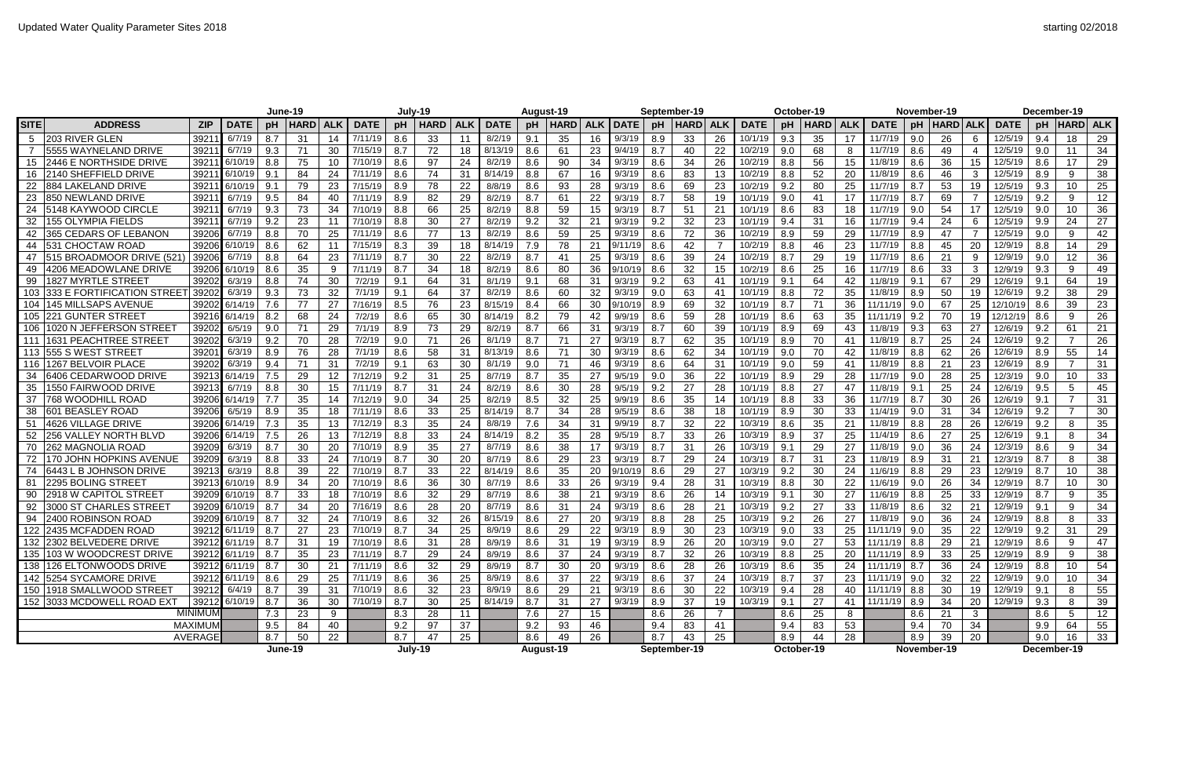|             |                                   |                   | June-19           |         |                        |            |                | July-19 |             |            |              | August-19 |             |            |                         | September-19 |              |     | October-19    |            |             |     |                | November-19 |                 |                 |               | December-19 |               |                 |
|-------------|-----------------------------------|-------------------|-------------------|---------|------------------------|------------|----------------|---------|-------------|------------|--------------|-----------|-------------|------------|-------------------------|--------------|--------------|-----|---------------|------------|-------------|-----|----------------|-------------|-----------------|-----------------|---------------|-------------|---------------|-----------------|
| <b>SITE</b> | <b>ADDRESS</b>                    | <b>ZIP</b>        | <b>DATE</b>       | pH      | <b>HARD</b>            | <b>ALK</b> | <b>DATE</b>    | рH      | <b>HARD</b> | <b>ALK</b> | <b>DATE</b>  | pH        | <b>HARD</b> | <b>ALK</b> | <b>DATE</b>             | рH           | <b>HARD</b>  |     | <b>DATE</b>   | pH         | <b>HARD</b> | ALK | <b>DATE</b>    | pH          | <b>HARD ALK</b> |                 | <b>DATE</b>   | рH          | HARD  ALK     |                 |
| 5           | 203 RIVER GLEN                    | 3921              | 6/7/19            | 8.7     | 31                     | 14         | 7/11/19        | 8.6     | 33          | 11         | 8/2/19       | 9.1       | 35          | 16         | 9/3/19                  | 8.9          | 33           | 26  | 10/1/19       | 9.3        | 35          | 17  | 11/7/19        | 9.0         | 26              | 6               | 12/5/19       | 9.4         | 18            | 29              |
|             | 5555 WAYNELAND DRIVE              | 3921              | 6/7/19            | 9.3     | 71                     | 30         | 7/15/19        | 8.7     | 72          | 18         | 8/13/19      | 8.6       | 61          | 23         | 9/4/19                  | 8.7          | 40           | 22  | 10/2/19       | 9.0        | 68          | -8  | 11/7/19        | 8.6         | 49              |                 | 12/5/19       | 9.0         |               | 34              |
| 15          | 2446 E NORTHSIDE DRIVE            | 3921              | 6/10/19           | 8.8     | 75                     | 10         | 7/10/19        | 8.6     | 97          | 24         | 8/2/19       | 8.6       | 90          | 34         | 9/3/19                  | 8.6          | 34           | 26  | 10/2/19       | 8.8        | 56          | 15  | 11/8/19        | 8.6         | 36              | 15              | 12/5/19       | 8.6         | 17            | 29              |
| 16          | <b>2140 SHEFFIELD DRIVE</b>       | 39211             | 6/10/19           | 9.1     | 84                     | 24         | 7/11/19        | 8.6     | 74          | 31         | 8/14/19      | 8.8       | 67          | 16         | 9/3/19                  | 8.6          | 83           |     | 10/2/19       | 8.8        | 52          | 20  | 11/8/19        | 8.6         | 46              | $\mathbf{3}$    | 12/5/19       | 8.9         | 9             | 38              |
| 22          | 884 LAKELAND DRIVE                | 3921              | 6/10/19           | 9.1     | 79                     | 23         | 7/15/19        | 8.9     | 78          | 22         | 8/8/19       | 8.6       | 93          | 28         | 9/3/19                  | 8.6          | 69           | 23  | 10/2/19       | 9.2        | 80          | 25  | 11/7/19        | 8.7         | 53              | 19              | 12/5/19       | 9.3         | 10            | 25              |
| 23          | <b>850 NEWLAND DRIVE</b>          | 3921              | 6/7/19            | 9.5     | 84                     | 40         | 7/11/19        | 8.9     | 82          | 29         | 8/2/19       | 8.7       | 61          | 22         | 9/3/19                  | 8.7          | 58           |     | 10/1/19       | 9.0        | 41          | 17  | 11/7/19        | 8.7         | 69              |                 | 12/5/19       | 9.2         | 9             | 12 <sub>2</sub> |
| 24          | 5148 KAYWOOD CIRCLE               | 3921              | 6/7/19            | 9.3     | 73                     | 34         | 7/10/19        | 8.8     | 66          | 25         | 8/2/19       | 8.8       | 59          | 15         | 9/3/19                  | 8.7          | 51           | 21  | 10/1/19       | 8.6        | 83          | 18  | 11/7/19        | 9.0         | 54              | 17              | 12/5/19       | -9.0        | 10            | 36              |
| 32          | l155 OLYMPIA FIELDS               | 3921              | 6/7/19            | 9.2     | 23                     | 11         | 7/10/19        | 8.8     | 30          | 27         | 8/2/19       | 9.2       | 32          | 21         | 9/3/19                  | 9.2          | 32           | 23  | 10/1/19       | 9.4        | 31          | 16  | 11/7/19        | 9.4         | 24              | 6               | 12/5/19       | 9.9         | 24            | 27              |
|             | 365 CEDARS OF LEBANON             | 3920              | 6/7/19            | 8.8     | 70                     | 25         | 7/11/19        | 8.6     | 77          | 13         | 8/2/19       | 8.6       | 59          | 25         | 9/3/19                  | 8.6          | 72           | 36  | 10/2/19       | 8.9        | 59          | 29  | 11/7/19        | 8.9         | 47              |                 | 12/5/19       | 9.0         | 9             | 42              |
| 44          | 531 CHOCTAW ROAD                  |                   | 39206 6/10/19     | 8.6     | 62                     | 11         | 7/15/19        | 8.3     | 39          | 18         | 8/14/19      | 7.9       | 78          | 21         | 9/11/19                 | 8.6          | 42           |     | 10/2/19       | 8.8        | 46          | 23  | 11/7/19        | 8.8         | 45              | 20              | 12/9/19       | 8.8         | 14            | 29              |
| 47          | <b>1515 BROADMOOR DRIVE (521</b>  | 39206             | 6/7/19            | 8.8     | 64                     | 23         | 7/11/19        | 8.7     | 30          | 22         | 8/2/19       | 8.7       | 41          | 25         | 9/3/19                  | 8.6          | 39           | 24  | 10/2/19       | 8.7        | 29          | 19  | 11/7/19        | 8.6         | 21              | 9               | 12/9/19       | 9.0         | 12            | 36              |
| 49          | 4206 MEADOWLANE DRIVE             |                   | 39206 6/10/19     | 8.6     | 35                     | -9         | 7/11/19        | 8.7     | 34          | 18         | 8/2/19       | 8.6       | 80          | 36         | 9/10/19                 | 8.6          | 32           |     | 10/2/19       | 8.6        | 25          | 16  | 11/7/19        | 8.6         | 33              | 3               | 12/9/19       | 9.3         | 9             | 49              |
| 99          | 1827 MYRTLE STREE <sup>-</sup>    | 39202             | 6/3/19            | 8.8     | 74                     | 30         | 7/2/19         | 9.1     | 64          | 31         | 8/1/19       | 9.1       | 68          | 31         | 9/3/19                  | 9.2          | 63           | -41 | 10/1/19       | 9.1        | 64          | 42  | 11/8/19        | 9.1         | 67              | 29              | 12/6/19       | -9.1        | 64            | 19              |
| 103         | <b>333 E FORTIFICATION STREET</b> | 3920              | 6/3/19            | 9.3     | 73                     | 32         | 7/1/19         | 9.1     | 64          | 37         | 8/2/19       | 8.6       | 60          | 32         | 9/3/19                  | 9.0          | 63           | -41 | 10/1/19       | 8.8        | 72          | 35  | 11/8/19        | 8.9         | 50              | 19              | 12/6/19       | 9.2         | 38            | 29              |
| 104         | <b>145 MILLSAPS AVENUE</b>        |                   | 39202 6/14/19     | 7.6     | 77                     | 27         | 7/16/19        | 8.5     | 76          | 23         | 8/15/19      | 8.4       | 66          | 30         | 9/10/19                 | 8.9          | 69           | 32  | 10/1/19       | 8.7        | 71          | 36  | 11/11/19       | 9.0         | 67              | 25              | 12/10/1       | 8.6         | 39            | 23              |
| 105         | <b>221 GUNTER STREET</b>          | 39216             | 6/14/19           | 8.2     | 68                     | 24         | 7/2/19         | 8.6     | 65          | 30         | 8/14/19      | 8.2       | 79          | 42         | 9/9/19                  | 8.6          | 59           | 28  | 10/1/19       | 8.6        | 63          | 35  | 11/11/19       | 9.2         | 70              | 19              | 12/12/19      | 8.6         | 9             | 26              |
| 106         | 11020 N JEFFERSON STREET          | 39202             | 6/5/19            | 9.0     | 71                     | 29         | 7/1/19         | 8.9     | 73          | 29         | 8/2/19       | 8.7       | 66          | 31         | 9/3/19                  | 8.7          | 60           | 39  | 10/1/19       | 8.9        | 69          | 43  | 11/8/19        | 9.3         | 63              | 27              | 12/6/19       | 9.2         | 61            | 21              |
| 111         | 1631 PEACHTREE STREET             | 39202             | 6/3/19            | 9.2     | 70                     | 28         | 7/2/19         | 9.0     | 71          | 26         | 8/1/19       | 8.7       | 71          | 27         | 9/3/19                  | 8.7          | 62           | 35  | 10/1/19       | 8.9        | 70          | -41 | 11/8/19        | 8.7         | 25              | 24              | 12/6/19       | 9.2         |               | 26              |
|             | 113 555 S WEST STREET             | 3920 <sup>-</sup> | 6/3/19            | 8.9     | 76                     | 28         | 7/1/19         | 8.6     | 58          | 31         | 8/13/19      | 8.6       | 71          | 30         | 9/3/19                  | 8.6          | 62           | 34  | 10/1/19       | 9.0        | 70          | 42  | 11/8/19        | 8.8         | 62              | 26              | 12/6/19       | 8.9         | 55            | 14              |
| 116         | 1267 BELVOIR PLACE                | 39202             | 6/3/19            | 9.4     | 71                     | 31         | 7/2/19         | 9.1     | 63          | 30         | 8/1/19       | 9.0       | 71          | 46         | 9/3/19                  | 8.6          | 64           | 31  | 10/1/19       | 9.0        | 59          | -41 | 11/8/19        | 8.8         | 21              | 23              | 12/6/19       | 8.9         |               | 31              |
| 34          | 6406 CEDARWOOD DRIVE              | 3921              | 6/14/19           | 7.5     | 29                     | 12         | 7/12/19        | 9.2     | 31          | 25         | 8/7/19       | 8.7       | 35          | 27         | 9/5/19                  | 9.0          | 36           | 22  | 10/1/19       | 8.9        | 29          | 28  | 11/7/19        | 9.0         | 28              | 25              | 12/3/19       | 9.0         | 10            | 33              |
| 35          | 1550 FAIRWOOD DRIVE               | 39213             | 6/7/19            | 8.8     | 30                     | 15         | 7/11/19        | 8.7     | 31          | 24         | 8/2/19       | 8.6       | 30          | 28         | 9/5/19                  | 9.2          | 27           | 28  | 10/1/19       | 8.8        | 27          | 47  | 11/8/19        | 9.1         | 25              | 24              | 12/6/19       | 9.5         | 5             | 45              |
| 37          | <b>768 WOODHILL ROAD</b>          | 39206             | 6/14/19           | 7.7     | 35                     | 14         | 7/12/19        | 9.0     | 34          | 25         | 8/2/19       | 8.5       | 32          | 25         | 9/9/19                  | 8.6          | 35           |     | 10/1/19       | 8.8        | 33          | 36  | 11/7/19        | 8.7         | 30              | 26              | 12/6/19       | -9.1        |               | 31              |
| 38          | <b>601 BEASLEY ROAD</b>           | 39206             | 6/5/19            | 8.9     | 35                     | 18         | 7/11/19        | 8.6     | 33          | 25         | 8/14/19      | 8.7       | 34          | 28         | 9/5/19                  | 8.6          | 38           |     | 10/1/19       | 8.9        | 30          | 33  | 11/4/19        | 9.0         | 31              | 34              | 12/6/19       | 9.2         |               | 30              |
| 51          | 4626 VILLAGE DRIVE                |                   | 39206 6/14/19     | 7.3     | 35                     | 13         | 7/12/19        | 8.3     | 35          | 24         | 8/8/19       | 7.6       | 34          | 31         | 9/9/19                  | 8.7          | 32           | 22  | 10/3/19       | 8.6        | 35          | 21  | 11/8/19        | 8.8         | 28              | 26              | 12/6/19       | 9.2         |               | 35              |
| 52          | <b>256 VALLEY NORTH BLVD</b>      |                   | 39206 6/14/19     | 7.5     | 26                     | 13         | 7/12/19        | 8.8     | 33          | 24         | 8/14/19      | 8.2       | 35          | 28         | 9/5/19                  | 8.7          | 33           | 26  | 10/3/19       | 8.9        | 37          | 25  | 11/4/19        | 8.6         | 27              | 25              | 12/6/19       | 9.1         |               | 34              |
| 70          | 262 MAGNOLIA ROAD                 | 39209             | 6/3/19            | 8.7     | 30                     | 20         | 7/10/19        | 8.9     | 35          | 27         | 8/7/19       | 8.6       | 38          | 17         | 9/3/19                  | 8.7          | 31           | 26  | 10/3/19       | 9.1        | 29          | 27  | 11/8/19        | 9.0         | 36              | 24              | 12/3/19       | 8.6         | 9             | 34              |
|             | 170 JOHN HOPKINS AVENUE           | 3920              | 6/3/19            | 8.8     | 33                     | 24         | 7/10/19        | 8.7     | 30          | 20         | 8/7/19       | 8.6       | 29          | 23         | 9/3/19                  | 8.7          | 29           | 24  | 10/3/19       | 8.7        | 31          | 23  | 11/8/19        | 8.9         | 31              | 21              | 12/3/19       | -8.7        | 8             | 38              |
| 74          | 6443 L B JOHNSON DRIVE            | 39213             | 6/3/19            | 8.8     | 39                     | 22         | 7/10/19        | 8.7     | 33          | 22         | 8/14/19      | 8.6       | 35          | 20         | 9/10/19                 | 8.6          | 29           | 27  | 10/3/19       | 9.2        | 30          | 24  | 11/6/19        | 8.8         | 29              | 23              | 12/9/19       | 8.7         | 10            | 38              |
| -81         | 2295 BOLING STREET                |                   | 39213 6/10/19     | 8.9     | 34                     | 20         | 7/10/19        | 8.6     | 36          | 30         | 8/7/19       | 8.6       | 33          | 26         | 9/3/19                  | 9.4          | 28           | 31  | 10/3/19       | 8.8        | 30          | 22  | 11/6/19        | 9.0         | 26              | 34              | 12/9/19       |             | 10            | 30              |
|             | 90 2918 W CAPITOL STREET          |                   | 39209 6/10/19 8.7 |         | 33 <sub>1</sub><br>ັບບ |            | 18 7/10/19 8.6 |         | ??<br>ےب    | 29         | $8/7/19$ 8.6 |           | 38          |            | $\boxed{21}$ 9/3/19 8.6 |              | 26           | 14  | $10/3/19$ 9.1 |            | ാറ<br>ັບບ   |     | 27 11/6/19 8.8 |             | つら<br>∠◡        | $33-1$<br>ັບບ   | 12/9/19 8.7   |             | $\Omega$<br>◡ | 35              |
|             | 92 3000 ST CHARLES STREET         |                   | 39209 6/10/19 8.7 |         | 34                     |            | 20 7/16/19 8.6 |         | 28          | 20         | 8/7/19       | 8.6       | 31          | 24         | 9/3/19                  | 8.6          | 28           | 21  | 10/3/19 9.2   |            | 27          | 33  | 11/8/19 8.6    |             | 32              | 21              | 12/9/19 9.1   |             | 9             | 34              |
|             | 94 2400 ROBINSON ROAD             |                   | 39209 6/10/19 8.7 |         | 32                     | 24         | 7/10/19        | 8.6     | 32          | 26         | 8/15/19      | 8.6       | 27          | 20         | 9/3/19                  | 8.8          | 28           | 25  | $10/3/19$ 9.2 |            | 26          | 27  | $11/8/19$ 9.0  |             | 36              | 24              | 12/9/19       | 8.8         |               | 33              |
|             | 122 2435 MCFADDEN ROAD            |                   | 39212 6/11/19 8.7 |         | 27                     | 23         | 7/10/19        | 8.7     | 34          | 25         | 8/9/19       | 8.6       | 29          | 22         | 9/3/19                  | 8.9          | 30           | 23  | 10/3/19 9.0   |            | 33          | 25  | $11/11/19$ 9.0 |             | 35              | 22              | $12/9/19$ 9.2 |             | 31            | 29              |
|             | 132 2302 BELVEDERE DRIVE          |                   | 39212 6/11/19 8.7 |         | 31                     | 19         | 7/10/19        | 8.6     | 31          | 28         | 8/9/19       | 8.6       | 31          | 19         | 9/3/19                  | 8.9          | 26           | 20  | $10/3/19$ 9.0 |            | 27          | 53  | $11/11/19$ 8.8 |             | 29              | 21              | 12/9/19   8.6 |             | 9             | 47              |
|             | 135 103 W WOODCREST DRIVE         |                   | 39212 6/11/19 8.7 |         | 35                     | 23         | 7/11/19        | 8.7     | 29          | 24         | 8/9/19       | 8.6       | 37          | 24         | 9/3/19                  | 8.7          | 32           | 26  | 10/3/19       | 8.8        | 25          | 20  | $11/11/19$ 8.9 |             | 33              | 25              | 12/9/19       | 8.9         |               | 38              |
|             | 138 126 ELTONWOODS DRIVE          |                   | 39212 6/11/19 8.7 |         | 30                     | 21         | 7/11/19        | 8.6     | 32          | 29         | 8/9/19       | 8.7       | 30          | 20         | 9/3/19                  | 8.6          | 28           | 26  | 10/3/19       | 8.6        | 35          | 24  | $11/11/19$ 8.7 |             | 36              | 24              | 12/9/19       | 8.8         | 10            | 54              |
|             | 142 5254 SYCAMORE DRIVE           |                   | 39212 6/11/19 8.6 |         | 29                     | 25         | 7/11/19        | 8.6     | 36          | 25         | 8/9/19       | 8.6       | 37          | 22         | 9/3/19                  | 8.6          | 37           | 24  | 10/3/19       | 8.7        | 37          | 23  | 11/11/19 9.0   |             | 32              | 22              | $12/9/19$ 9.0 |             | 10            | 34              |
|             | 150 1918 SMALLWOOD STREET         |                   | 39212 6/4/19      | 8.7     | 39                     | 31         | 7/10/19 8.6    |         | 32          | 23         | 8/9/19       | 8.6       | 29          | 21         | 9/3/19                  | 8.6          | 30           | 22  | 10/3/19       | 9.4        | 28          | 40  | 11/11/19 8.8   |             | 30              | 19              | 12/9/19 9.1   |             |               | 55              |
|             | 152 3033 MCDOWELL ROAD EXT        |                   | 39212 6/10/19     | 8.7     | 36                     | 30         | 7/10/19        | 8.7     | 30          | 25         | 8/14/19      | 8.7       | 31          | 27         | 9/3/19                  | 8.9          | 37           | 19  | 10/3/19       | 9.1        | 27          | 41  | 11/11/19       | 8.9         | 34              | 20 <sub>1</sub> | 12/9/19       | 9.3         |               | 39              |
|             |                                   | <b>MINIMUM</b>    |                   | 7.3     | 23                     | 9          |                | 8.3     | 28          | 11         |              | 7.6       | 27          | 15         |                         | 8.6          | 26           |     |               | 8.6        | 25          | 8   |                | 8.6         | 21              | $\mathbf{3}$    |               | 8.6         | $5^{\circ}$   | 12              |
|             |                                   | MAXIMUM           |                   | 9.5     | 84                     | 40         |                | 9.2     | 97          | 37         |              | 9.2       | 93          | 46         |                         | 9.4          | 83           | 41  |               | 9.4        | 83          | 53  |                | 9.4         | 70              | 34              |               | 9.9         | 64            | 55              |
|             |                                   | <b>AVERAGE</b>    |                   | 8.7     | 50                     | 22         |                | 8.7     | 47          | 25         |              | 8.6       | 49          | 26         |                         | 8.7          | 43           | 25  |               | 8.9        | 44          | 28  |                | 8.9         | 39              | 20              |               | 9.0         | 16            | 33              |
|             |                                   |                   |                   | June-19 |                        |            |                |         | July-19     |            |              |           | August-19   |            |                         |              | September-19 |     |               | October-19 |             |     |                |             | November-19     |                 |               |             | December-19   |                 |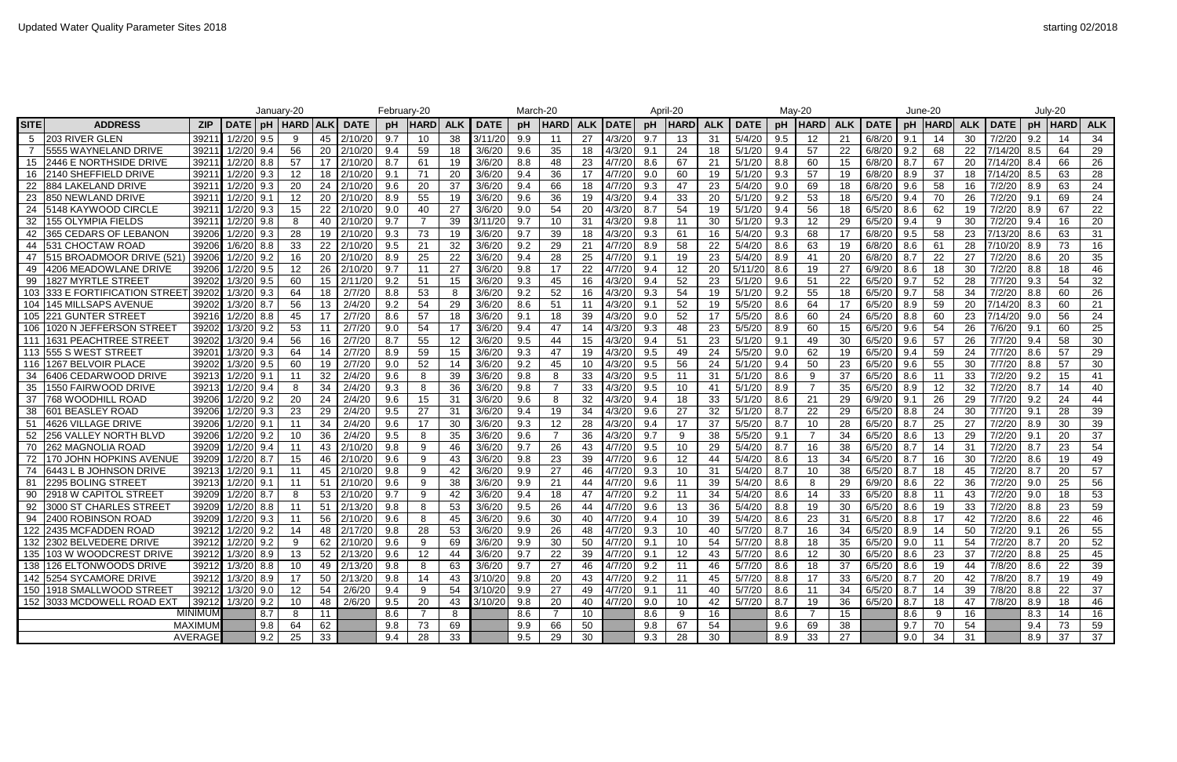|             |                              |                |                  |     | January-20               |     |                                                                             | February-20 |                 |     |             | March-20                       |                   |            |               |      | April-20              |            |              |     | May-20            |                 |              |     | June-20            |                      |              |      | July-20                     |            |
|-------------|------------------------------|----------------|------------------|-----|--------------------------|-----|-----------------------------------------------------------------------------|-------------|-----------------|-----|-------------|--------------------------------|-------------------|------------|---------------|------|-----------------------|------------|--------------|-----|-------------------|-----------------|--------------|-----|--------------------|----------------------|--------------|------|-----------------------------|------------|
| <b>SITE</b> | <b>ADDRESS</b>               | <b>ZIP</b>     | <b>DATE</b>      | pH  |                          |     | HARD   ALK   DATE                                                           | pH          | <b>HARD</b>     | ALK | <b>DATE</b> | pH                             | <b>HARD</b>       | <b>ALK</b> | <b>DATE</b>   | pH   | <b>HARD</b>           | <b>ALK</b> | <b>DATE</b>  | pH  | <b>HARD</b>       | ALK             | <b>DATE</b>  | pH  | HARD               | <b>ALK</b>           | <b>DATE</b>  | pH   | <b>HARD</b>                 | <b>ALK</b> |
|             | 203 RIVER GLEN               | 3921           | 1/2/20           | 9.5 | 9                        | 45  | 2/10/20                                                                     | 9.7         | 10              | 38  | 3/11/20     | 9.9                            | -11               | 27         | 4/3/20        | 9.7  | 13                    | 31         | 5/4/20       | 9.5 |                   | 21              | 6/8/20       | 9.1 | 14                 | 30                   | 7/2/20       | 9.2  |                             | 34         |
|             | l5555 WAYNELAND DRIVE        | 3921           | 1/2/20           | 9.4 | 56                       | 20  | 2/10/20                                                                     | 9.4         | 59              | 18  | 3/6/20      | 9.6                            | 35                | 18         | 4/3/20        | 9.1  | 24                    | 18         | 5/1/20       | 9.4 | 57                |                 | 6/8/20       | 9.2 | 68                 | 22                   | 7/14/20      | 8.5  | 64                          | 29         |
| 15          | 2446 E NORTHSIDE DRIVE       | 3921           | 1/2/20           | 8.8 | -57                      | 17  | 2/10/20                                                                     | 8.7         | 61              | 19  | 3/6/20      | 8.8                            | 48                | 23         | 4/7/20        | 8.6  | -67                   | 21         | 5/1/20       | 8.8 | 60                | 15              | 6/8/20       | 8.7 | 67                 | 20                   | 7/14/20      | -8.4 | 66                          | 26         |
| 16          | 2140 SHEFFIELD DRIVE         | 3921           | 1/2/20           | 9.3 | 12                       | 18  | 2/10/20                                                                     | 9.1         | 71              | 20  | 3/6/20      | 9.4                            | 36                | 17         | 4/7/20        | 9.0  | 60                    | 19         | 5/1/20       | 9.3 | 57                | 19              | 6/8/20       | 8.9 | 37                 | 18                   | 7/14/20      | 8.5  | 63                          | 28         |
| 22          | 1884 LAKELAND DRIVE          | 3921           | $1/2/20$ 9.3     |     | -20                      | 24  | 2/10/20                                                                     | 9.6         | 20              | 37  | 3/6/20      | 9.4                            | 66                | 18         | 4/7/20        | 9.3  | 47                    | 23         | 5/4/20       | 9.0 | 69                |                 | 6/8/20       | 9.6 | 58                 | 16                   | 7/2/20       | 8.9  | 63                          | 24         |
| 23          | <b>850 NEWLAND DRIVE</b>     | 3921           | 1/2/20           | 9.1 |                          | 20  | 2/10/20                                                                     | 8.9         | 55              | 19  | 3/6/20      | 9.6                            | 36                | 19         | 4/3/20        | 9.4  | 33                    | 20         | 5/1/20       | 9.2 | 53                | 18              | 6/5/20       | 9.4 | 70                 | 26                   | 7/2/20       | 9.1  | 69                          | 24         |
|             | 15148 KAYWOOD CIRCLE         | 3921           | 1/2/20           | 9.3 | -15                      | 22  | 2/10/20                                                                     | 9.0         | 40              | 27  | 3/6/20      | 9.0                            | 54                | 20         | 4/3/20        | -8.7 | 54                    | 19         | 5/1/20       | 9.4 | 56                | 18              | 6/5/20       | 8.6 | 62                 | 19                   | 7/2/20       | 8.9  | -67                         | 22         |
| 32          | 155 OLYMPIA FIELDS           | 3921           | 1/2/20           | 9.8 |                          | 40  | 2/10/20                                                                     | 9.7         |                 | 39  | 3/11/20     | 9.7                            | 10                | 31         | 4/3/20        | 9.8  | -11                   | 30         | 5/1/20       | 9.3 |                   |                 | 6/5/20       | 9.4 | 9                  | 30                   | 7/2/20       | 9.4  | 16                          | 20         |
|             | 365 CEDARS OF LEBANON        | 3920           | 1/2/20           | 9.3 |                          | 19  | 2/10/20                                                                     | 9.3         | 73              | 19  | 3/6/20      | 9.7                            | 39                | 18         | 4/3/20        | 9.3  | 61                    | 16         | 5/4/20       | 9.3 | 68                | -17             | 6/8/20       | 9.5 | 58                 | 23                   | 7/13/20      | 8.6  | 63                          | 31         |
| 44          | <b>531 CHOCTAW ROAD</b>      | 3920           | 1/6/20           | 8.8 | -33                      | 22  | 2/10/20                                                                     | 9.5         | 21              | 32  | 3/6/20      | 9.2                            | 29                | 21         | 4/7/20        | 8.9  | 58                    | 22         | 5/4/20       | 8.6 | 63                | 19              | 6/8/20       | 8.6 | 61                 | 28                   | 7/10/2       | 8.9  | 73                          | 16         |
| 47          | 515 BROADMOOR DRIVE (521     | 3920           |                  | 9.2 |                          | 20  | 2/10/20                                                                     | 8.9         | 25              | 22  | 3/6/20      | 9.4                            | 28                | 25         | 4/7/20        | -9.1 | 19                    | 23         | 5/4/20       | 8.9 | -41               | 20              | 6/8/20       | 8.7 | 22                 | 27                   | 7/2/20       | 8.6  | 20                          | 35         |
| 49          | 4206 MEADOWLANE DRIVE        | 3920           | 1/2/20 9.5       |     |                          | 26  | 2/10/20                                                                     | 9.7         | 11              | 27  | 3/6/20      | 9.8                            | 17                | 22         | 4/7/20        | 9.4  | 12                    | -20        | 5/11/20      | 8.6 | 19                |                 | 6/9/20       | 8.6 | 18                 | 30                   | 7/2/20       | 8.8  | 18                          | 46         |
| 99          | 1827 MYRTLE STREET           | 39202          | 1/3/20           | 9.5 | -60                      | 15  | 2/11/20                                                                     | 9.2         | 51              | 15  | 3/6/20      | 9.3                            | 45                | 16         | 4/3/20        | -9.4 | 52 <sub>2</sub>       | 23         | 5/1/20       | 9.6 | 51                |                 | 6/5/20       | 9.7 | 52                 | 28                   | 7/7/20       | 9.3  | 54                          | 32         |
|             | 1333 E FORTIFICATION STREET  | 3920           | 1/3/20           | 9.3 | -64                      | 18  | 2/7/20                                                                      | 8.8         | 53              | -8  | 3/6/20      | 9.2                            | 52                | 16         | 4/3/20        | 9.3  | 54                    | 19         | 5/1/20       | 9.2 | 55                | 18              | 6/5/20       | 9.7 | 58                 | 34                   | 7/2/20       | 8.8  | 60                          | 26         |
|             | 145 MILLSAPS AVENUE          | 3920           | 1/3/20           | 8.7 | 56                       | 13  | 2/4/20                                                                      | 9.2         | 54              | 29  | 3/6/20      | 8.6                            | 51                | 11         | 4/3/20        | -9.1 | 52                    | 19         | 5/5/20       | 8.6 | 64                | -17             | 6/5/20       | 8.9 | 59                 | 20                   | 7/14/20      | 8.3  | 60                          | 21         |
| 105         | <b>221 GUNTER STREET</b>     | 3921           | $1/2/20$ 8.8     |     | 45                       | -17 | 2/7/20                                                                      | 8.6         | 57              | 18  | 3/6/20      | 9.1                            | 18                | 39         | 4/3/20        | 9.0  | 52                    |            | 5/5/20       | 8.6 | 60                | 24              | 6/5/20       | 8.8 | 60                 | 23                   | 7/14/20      | 9.0  | 56                          | 24         |
| 106         | 1020 N JEFFERSON STREET      | 3920           | 1/3/20           | 9.2 | 53                       | -11 | 2/7/20                                                                      | 9.0         | 54              | 17  | 3/6/20      | 9.4                            | 47                | 14         | 4/3/20        | 9.3  | 48                    | 23         | 5/5/20       | 8.9 | 60                | 15              | 6/5/20       | 9.6 | 54                 | 26                   | 7/6/20       | -9.1 | 60                          | 25         |
| 111         | 11631 PEACHTREE STREET       | 39202          | 1/3/20           | 9.4 | 56                       | 16  | 2/7/20                                                                      | 8.7         | 55              | 12  | 3/6/20      | 9.5                            | 44                | 15         | 4/3/20        | 9.4  | 51                    | 23         | 5/1/20       | 9.1 | 49                | 30              | 6/5/20       | 9.6 | 57                 | 26                   | 7/7/20       | 9.4  | 58                          | 30         |
| 113         | <b>555 S WEST STREE</b>      | 3920           | 1/3/20 9.3       |     | -64                      | 14  | 2/7/20                                                                      | 8.9         | 59              | 15  | 3/6/20      | 9.3                            | 47                | 19         | 4/3/20        | 9.5  | 49                    | 24         | 5/5/20       | 9.0 | 62                |                 | 6/5/20       | 9.4 | 59                 | 24                   | 7/7/20       | 8.6  | 57                          | 29         |
| 116         | 1267 BELVOIR PLACE           | 39202          | 1/3/20           | 9.5 | -60                      | 19  | 2/7/20                                                                      | 9.0         | 52              | 14  | 3/6/20      | 9.2                            | 45                | 10         | 4/3/20        | 9.5  | 56                    | 24         | 5/1/20       | 9.4 | 50                | 23              | 6/5/20       | 9.6 | 55                 | 30                   | 7/7/20       | 8.8  | 57                          | 30         |
| 34          | 16406 CEDARWOOD DRIVE        | 3921           | $1/2/20$ 9.1     |     | $\mathbf{1}^{\prime}$    | 32  | 2/4/20                                                                      | 9.6         | 8               | 39  | 3/6/20      | 9.8                            | 8                 | 33         | 4/3/20        | 9.5  | 11                    | 31         | 5/1/20       | 8.6 | -9                | -37             | 6/5/20       | 8.6 | 11                 | 33                   | 7/2/20       | 9.2  | 15                          | 41         |
| 35          | 1550 FAIRWOOD DRIVE          | 3921           | 1/2/20           | 9.4 |                          | 34  | 2/4/20                                                                      | 9.3         | -8              | 36  | 3/6/20      | 9.8                            |                   | 33         | 4/3/20        | 9.5  | 10                    |            | 5/1/20       | 8.9 |                   | -35             | 6/5/20       | 8.9 | 12                 | 32                   | 7/2/20       | 8.7  |                             | 40         |
| -37         | 768 WOODHILL ROAD            | 3920           | 1/2/20           | 9.2 |                          | 24  | 2/4/20                                                                      | 9.6         | 15 <sub>2</sub> | 31  | 3/6/20      | 9.6                            | 8                 | 32         | 4/3/20        | 9.4  | 18                    | 33         | 5/1/20       | 8.6 | 21                |                 | 6/9/20       | 9.1 | 26                 | 29                   | 7/7/20       | 9.2  | 24                          | 44         |
| 38          | <b>601 BEASLEY ROAD</b>      | 3920           | 1/2/20           | 9.3 | -23                      | 29  | 2/4/20                                                                      | 9.5         | 27              | 31  | 3/6/20      | 9.4                            | 19                | 34         | 4/3/20        | 9.6  | 27                    | 32         | 5/1/20       | 8.7 | 22                | 29              | 6/5/20       | 8.8 | 24                 | 30                   | 7/7/20       | 9.1  | 28                          | 39         |
| 51          | 4626 VILLAGE DRIVE           | 3920           | 1/2/20           | 9.1 |                          | 34  | 2/4/20                                                                      | 9.6         | 17              | 30  | 3/6/20      | 9.3                            | $12 \overline{ }$ | 28         | 4/3/20        | 9.4  | 17                    | 37         | 5/5/20       | 8.7 | 10                | 28              | 6/5/20       | 8.7 | 25                 | 27                   | 7/2/20       | 8.9  | 30                          | 39         |
| 52          | <b>256 VALLEY NORTH BLVD</b> | 3920           | 1/2/20 9.2       |     |                          | 36  | 2/4/20                                                                      | 9.5         | 8               | 35  | 3/6/20      | 9.6                            |                   | 36         | 4/3/20        | -9.7 | 9                     | 38         | 5/5/20       | 9.1 |                   |                 | 6/5/20       | 8.6 | 13                 | 29                   | 7/2/20       | -9.1 | 20                          | 37         |
| 70          | 262 MAGNOLIA ROAD            | 39209          | 1/2/20           | 9.4 | $\cdot$ 1                | 43  | 2/10/20                                                                     | 9.8         | 9               | 46  | 3/6/20      | 9.7                            | 26                | 43         | 4/7/20        | 9.5  | 10                    | 29         | 5/4/20       | 8.7 | 16                | 38              | 6/5/20       | 8.7 | 14                 | 31                   | 7/2/20       | 8.7  | 23                          | 54         |
|             | 170 JOHN HOPKINS AVENUE      | 3920           | 1/2/20           | 8.7 |                          | 46  | 2/10/20                                                                     | 9.6         | 9               | 43  | 3/6/20      | 9.8                            | 23                | 39         | 4/7/20        | 9.6  | 12                    |            | 5/4/20       | 8.6 | 13                |                 | 6/5/20       | 8.7 | 16                 | 30                   | 7/2/20       | 8.6  | 19                          | 49         |
|             | 6443 L B JOHNSON DRIVE       | 3921           | 1/2/20           | 9.1 |                          | 45  | 2/10/20                                                                     | 9.8         | -9              | 42  | 3/6/20      | 9.9                            | 27                | 46         | 4/7/20        | 9.3  | 10                    | -31        | 5/4/20       | 8.7 | 10                | -38             | 6/5/20       | 8.7 | 18                 | 45                   | 7/2/20       | 8.7  | 20                          | 57         |
| -81         | 2295 BOLING STREET           | 3921           |                  | 9.1 |                          | -51 | 2/10/20                                                                     | 9.6         | -9              | 38  | 3/6/20      | 9.9                            | 21                | 44         | 4/7/20        | 9.6  | 11                    | 39         | 5/4/20       | 8.6 |                   |                 | 6/9/20       | 8.6 | 22                 | 36                   | 7/2/20       | 9.0  | 25                          | 56         |
|             | 90 2918 W CAPITOL STREET     |                | 39209 1/2/20 8.7 |     | $\Omega$<br>$\mathbf{o}$ |     | $\begin{array}{ c c c c c } \hline 53 & 2/10/20 & 9.7 \ \hline \end{array}$ |             | $\Omega$<br>ັບ  | 42  | 3/6/20      | $Q \Lambda$<br>ອ. <del>⊣</del> | 1 Q<br>1 O        |            | 47 4/7/20 9.2 |      | $-11$<br>$\mathbf{I}$ | 34         | $5/4/20$ 8.6 |     | $\mathbf{H}$      | ??<br>ഄഄ        | $6/5/20$ 8.8 |     | 11<br>$\mathbf{1}$ | $\overline{A}$<br>∸∿ | $7/2/20$ 9.0 |      | 1 <sub>R</sub><br><b>10</b> | 53<br>ັບບ  |
|             | 92 3000 ST CHARLES STREET    |                | 39209 1/2/20 8.8 |     | $-11$                    | 51  | $2/13/20$ 9.8                                                               |             | 8               | 53  | 3/6/20      | 9.5                            | 26                | 44         | $4/7/20$ 9.6  |      | 13                    | 36         | 5/4/20       | 8.8 | 19                | 30              | $6/5/20$ 8.6 |     | 19                 | 33                   | $7/2/20$ 8.8 |      | 23                          | 59         |
|             | 94 2400 ROBINSON ROAD        |                | 39209 1/2/20 9.3 |     | - 11                     |     | 56 2/10/20                                                                  | 9.6         | 8               | 45  | 3/6/20      | 9.6                            | 30                | 40         | $4/7/20$ 9.4  |      | 10                    | 39         | 5/4/20       | 8.6 | 23                | -31             | $6/5/20$ 8.8 |     | 17                 | 42                   | $7/2/20$ 8.6 |      | 22                          | 46         |
|             | 122 2435 MCFADDEN ROAD       |                | 39212 1/2/20 9.2 |     | $\sqrt{14}$              |     | 48 2/17/20                                                                  | 9.8         | 28              | 53  | 3/6/20      | 9.9                            | 26                | 48         | $4/7/20$ 9.3  |      | 10                    | 40         | 5/7/20       | 8.7 | 16                | 34              | $6/5/20$ 8.9 |     | 14                 | 50                   | $7/2/20$ 9.1 |      | 26                          | 55         |
|             | 132 2302 BELVEDERE DRIVE     |                | 39212 1/2/20 9.2 |     | - 9                      |     | 62 2/10/20                                                                  | 9.6         | 9               | 69  | 3/6/20      | 9.9                            | 30                | 50         | $4/7/20$ 9.1  |      | 10                    | 54         | 5/7/20       | 8.8 | 18                | 35              | $6/5/20$ 9.0 |     | 11                 | 54                   | $7/2/20$ 8.7 |      | 20                          | 52         |
|             | 135 103 W WOODCREST DRIVE    |                | 39212 1/3/20 8.9 |     | 13                       |     | 52 2/13/20                                                                  | 9.6         | 12              | 44  | 3/6/20      | 9.7                            | 22                | 39         | $4/7/20$ 9.1  |      | 12                    | 43         | 5/7/20       | 8.6 | $12 \overline{ }$ | 30              | $6/5/20$ 8.6 |     | 23                 | 37                   | $7/2/20$ 8.8 |      | 25                          | 45         |
|             | 138 126 ELTONWOODS DRIVE     |                | 39212 1/3/20 8.8 |     | 10                       |     | 49 2/13/20                                                                  | 9.8         | 8               | 63  | 3/6/20      | 9.7                            | 27                | 46         | $4/7/20$ 9.2  |      | 11                    | 46         | 5/7/20       | 8.6 | 18                | 37              | $6/5/20$ 8.6 |     | 19                 | 44                   | $7/8/20$ 8.6 |      | 22                          | 39         |
|             | 142 5254 SYCAMORE DRIVE      |                | 39212 1/3/20 8.9 |     | 17                       |     | 50 2/13/20                                                                  | 9.8         | 14              | 43  | 3/10/20     | 9.8                            | 20                | 43         | $4/7/20$ 9.2  |      | 11                    | 45         | 5/7/20       | 8.8 | -17               | 33              | 6/5/20       | 8.7 | 20                 | 42                   | 7/8/20 8.7   |      | 19                          | 49         |
|             | 150   1918 SMALLWOOD STREET  |                | 39212 1/3/20 9.0 |     |                          | 54  | 2/6/20                                                                      | 9.4         | 9               | 54  | 3/10/20     | 9.9                            | 27                | 49         | $4/7/20$ 9.1  |      | 11                    | 40         | 5/7/20       | 8.6 | -11               | 34              | 6/5/20       | 8.7 | 14                 | 39                   | 7/8/20 8.8   |      | 22                          | 37         |
|             | 152 3033 MCDOWELL ROAD EXT   |                | 39212 1/3/20 9.2 |     | 10                       | 48  | 2/6/20                                                                      | 9.5         | 20              | 43  | 3/10/20     | 9.8                            | 20                | 40         | $4/7/20$ 9.0  |      | 10 <sup>°</sup>       | 42         | 5/7/20       | 8.7 | 19                | 36              | 6/5/20       | 8.7 | 18                 | 47                   | 7/8/20 8.9   |      | 18                          | 46         |
|             |                              | <b>MINIMUM</b> |                  | 8.7 | 8                        | 11  |                                                                             | 8.6         | $\overline{7}$  | 8   |             | 8.6                            |                   | 10         |               | 8.6  | 9                     | 16         |              | 8.6 |                   | 15 <sub>1</sub> |              | 8.6 | 9                  | 16                   |              | 8.3  | 14                          | 16         |
|             |                              | MAXIMUM        |                  | 9.8 | 64                       | 62  |                                                                             | 9.8         | 73              | 69  |             | 9.9                            | 66                | 50         |               | 9.8  | 67                    | 54         |              | 9.6 | 69                | 38              |              | 9.7 | 70                 | 54                   |              | 9.4  | 73                          | 59         |
|             |                              | AVERAGE        |                  | 9.2 | 25                       | 33  |                                                                             | 9.4         | 28              | 33  |             | 9.5                            | 29                | 30         |               | 9.3  | 28                    | 30         |              | 8.9 | 33                | 27              |              | 9.0 | 34                 | 31                   |              | 8.9  | 37                          | 37         |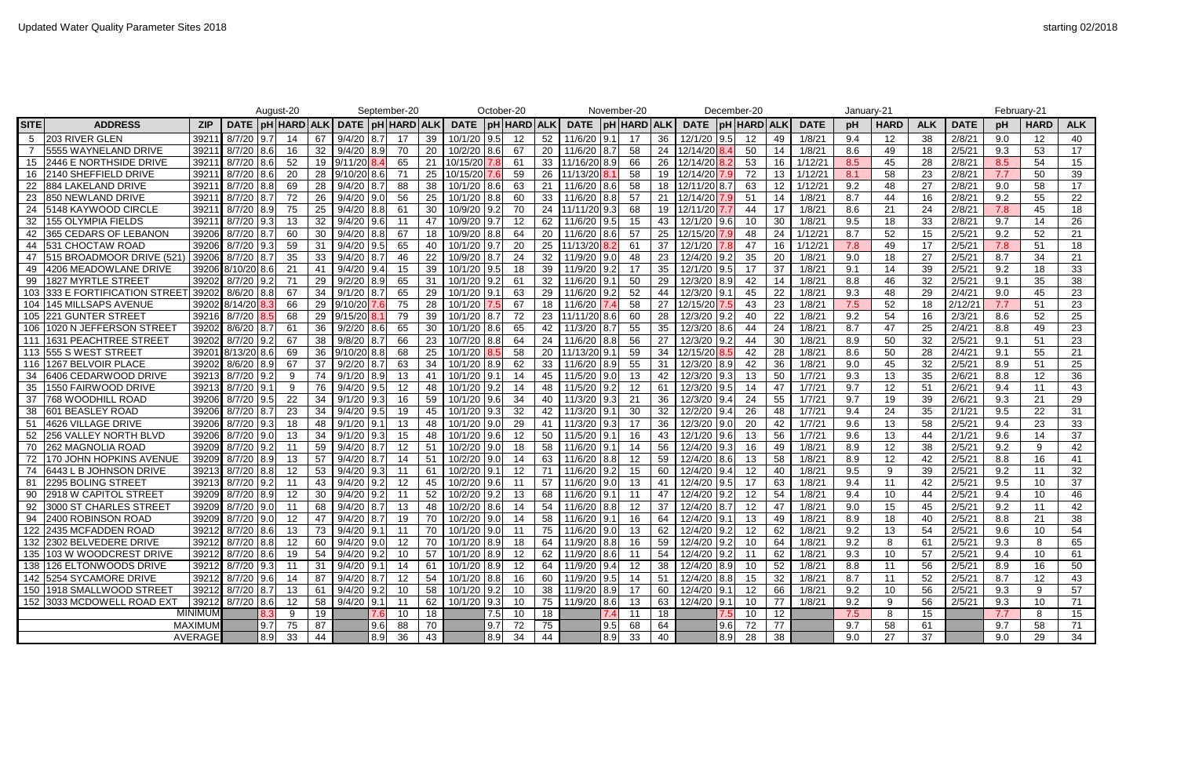|             |                              |                |                       | August-20 |     |    |                       |      | September-20 |     |                                                                               | October-20         |    |                        |        | November-20 |                |                | December-20             |     |             | January-21 |             |            |             |     | February-21       |            |
|-------------|------------------------------|----------------|-----------------------|-----------|-----|----|-----------------------|------|--------------|-----|-------------------------------------------------------------------------------|--------------------|----|------------------------|--------|-------------|----------------|----------------|-------------------------|-----|-------------|------------|-------------|------------|-------------|-----|-------------------|------------|
| <b>SITE</b> | <b>ADDRESS</b>               | ZIP            | <b>DATE</b>           |           |     |    | pH HARD ALK  DATE  pH |      | HARD ALK     |     | <b>DATE</b>                                                                   | <b>pH HARD ALK</b> |    | DATE   pH   HARD   ALK |        |             |                | <b>DATE</b>    | <b>pH HARD ALK</b>      |     | <b>DATE</b> | рH         | <b>HARD</b> | <b>ALK</b> | <b>DATE</b> | pH  | <b>HARD</b>       | <b>ALK</b> |
|             | 203 RIVER GLEN               | 39211          | 8/7/20                | 9.7       | 14  | 67 | 9/4/20                | 18.7 | -17          | 39  | 10/1/20                                                                       | 9.5<br>12          | 52 | 11/6/20                | 9.1    | -17         | 36             | 12/1/20        | 9.5<br>12               | -49 | 1/8/21      | 9.4        | 12          | 38         | 2/8/21      | 9.0 | $12 \overline{ }$ | 40         |
|             | 5555 WAYNELAND DRIVE         | 39211          | 8/7/20                | 8.6       | 16  | 32 | 9/4/20                | 18.9 | -70          | 20  | 10/2/20                                                                       | 8.6<br>-67         | 20 | 11/6/20                | 8.7    | 58          | 24             | 12/14/20       | 50                      | -14 | 1/8/21      | 8.6        | 49          | 18         | 2/5/21      | 9.3 | 53                | 17         |
| 15          | 2446 E NORTHSIDE DRIVE       | 39211          | 8/7/20                | 8.6       | 52  | 19 | 9/11/20               |      | 65           | 21  | 10/15/20                                                                      | 7.81<br>- 61       | 33 | 11/16/20 8.9           |        | 66          | 26             | 12/14/20       | 53                      | 16  | 1/12/2      | 8.5        | 45          | 28         | 2/8/21      | 8.5 | 54                | 15         |
| 16          | 2140 SHEFFIELD DRIVE         | 39211          | 8/7/20                | 8.6       | -20 | 28 | 9/10/20               |      |              | 25  | 10/15/20                                                                      | -59                | 26 | /13/20                 |        | -58         | 19             |                |                         |     | 1/12/2      | 8.1        | 58          | 23         | 2/8/21      | 7.7 | 50                | 39         |
| 22          | <b>884 LAKELAND DRIVE</b>    | 39211          | 8/7/20                | 8.8       | 69  | 28 | 9/4/20                |      | 88           | 38  | 10/1/20                                                                       | 8.6<br>-63         | 21 | 11/6/20                | 8.6    | 58          |                |                | 63                      | 12  | 1/12/2      | 9.2        | 48          | 27         | 2/8/21      | 9.0 | 58                | 17         |
| 23          | <b>850 NEWLAND DRIVE</b>     | 39211          | 8/7/20                |           | 72  | 26 | 9/4/20                | 19.0 | -56          | 25  | 10/1/20                                                                       | 8.8<br>-60         | 33 | 11/6/20                | l 8.81 | 57          | 21             | 12/14/20       | -51                     | -14 | 1/8/21      | 8.7        | 44          | 16         | 2/8/21      | 9.2 | 55                | 22         |
|             | 5148 KAYWOOD CIRCLE          | 39211          | 8/7/20                | 8.9       | 75  | 25 | 9/4/20                | 18.8 | -61          | 30  | 10/9/20                                                                       | 9.2<br>-70         | 24 | 11/11/2019.3           |        | 68          | 19             | 12/11/20       |                         | -17 | 1/8/21      | 8.6        | 21          | 24         | 2/8/21      | 7.8 | 45                | 18         |
|             | 155 OLYMPIA FIELDS           | 39211          | 8/7/20                | 9.3       | 13  |    | 9/4/20                | 19.6 | -11          | -47 | 10/9/20                                                                       |                    | 62 | 11/6/20                | 9.5    |             | 43             | 12/1/20        | 10                      | 30  | 1/8/21      | 9.5        | 18          | 33         | 2/8/21      | 9.7 | 14                | 26         |
|             | <b>365 CEDARS OF LEBANON</b> | 39206          | 8/7/20                |           | 60  | 30 | 9/4/20                |      | 67           | 18  | 10/9/20                                                                       | 8.8<br>-64         | 20 | 11/6/20                | 8.6    | 57          | 25             | 12/15/20       | 48                      | 24  | 1/12/2      | 8.7        | 52          | 15         | 2/5/21      | 9.2 | 52                | 21         |
| 44          | <b>531 CHOCTAW ROAD</b>      | 39206          | 8/7/20                | 9.3       | 59  |    | 9/4/20                | 9.5  | 65           | 40  | 10/1/20                                                                       | 9.71<br>-20        | 25 | 11/13/20               |        | 61          | 37             | 12/1/20        | -47                     | 16  | 1/12/2      | 7.8        | 49          | 17         | 2/5/21      | 7.8 | 51                | 18         |
| 47          | 1515 BROADMOOR DRIVE (521    | 39206          | 8/7/20                |           |     | 33 | 9/4/20                |      | -46          | 22  | 10/9/20                                                                       |                    | 32 | 11/9/20                | 9.0    |             | 23             | 12/4/20        | 35                      | 20  | 1/8/2       | 9.0        | 18          | 27         | 2/5/21      | 8.7 | 34                | 21         |
|             | 4206 MEADOWLANE DRIVE        |                | 39206 8/10/20 8.6     |           |     |    | $9/4/20$ 9.4          |      | -15          | 39  | 10/1/20                                                                       | 9.5<br>-18         | 39 | 11/9/20                |        |             | 35             | 12/1/20        | 9.5<br>-17              | -37 | 1/8/21      | 9.1        | 14          | 39         | 2/5/21      | 9.2 | 18                | 33         |
| 99          | 1827 MYRTLE STREET           | 39202          | 8/7/20                | 19.2      |     | 29 | 9/2/20                | 18.9 | 65           | 31  | 10/1/20                                                                       | -61                | 32 | 11/6/20                | 9.1    | 50          | 29             | 12/3/20        | 42<br>8.9               | -14 | 1/8/2       | 8.8        | 46          | 32         | 2/5/21      | 9.1 | 35                | 38         |
| 103         | 1333 E FORTIFICATION STREE   | 39202          | 8/6/20                | 8.8       | -67 | 34 | 9/1/20                |      | 65           | 29  | 10/1/20                                                                       | 63                 | 29 | 11/6/20                | 92     | 52          | 44             | 12/3/20        | $\Omega$ 1<br>45        | 22  | 1/8/21      | 9.3        | 48          | 29         | 2/4/21      | 9.0 | 45                | 23         |
| 104         | 145 MILLSAPS AVENUE          |                | 39202 8/14/20         |           | 66  | 29 | 9/10/20               |      |              | 28  | 10/1/20                                                                       | -67                | 18 | 11/6/20                |        | 58          | 27             | 12/15/20       | 43                      | 23  | 1/8/2       | 7.5        | 52          | 18         | 2/12/2'     | 7.7 | 51                | 23         |
|             | 105 221 GUNTER STREET        | 39216          | 8/7/20                |           | 68  | 29 | 9/15/20               |      | 79           | 39  | 10/1/20                                                                       | 72                 | 23 | 11/20                  |        | 60          | 28             | 12/3/20        | 40                      | 22  | 1/8/2       | 9.2        | 54          | 16         | 2/3/21      | 8.6 | 52                | 25         |
| 106         | 1020 N JEFFERSON STREET      | 39202          | 8/6/20                | 8.7       | -61 | 36 | 9/2/20                | 18.6 | 65           | 30  | 10/1/20                                                                       | 8.6 <br>65         | 42 | 11/3/20                | 8.7    | 55          | 35             | 12/3/20        | 8.6I                    | 24  | 1/8/21      | 8.7        | 47          | 25         | 2/4/21      | 8.8 | 49                | 23         |
| 111         | 1631 PEACHTREE STREET        | 39202          | 8/7/20                | 9.2       | -67 | 38 | 9/8/20                |      | -66          | 23  | 10/7/20                                                                       | 8.8<br>-64         | 24 | 11/6/20                | 8.8    | -56         | 27             | 12/3/20        |                         | 30  | 1/8/2       | 8.9        | 50          | 32         | 2/5/21      | 9.1 | 51                | 23         |
|             | 113 555 S WEST STREET        |                | 39201 8/13/20         | 8.6       | 69  | 36 | $9/10/20$ 8.8         |      | 68           | 25  | 10/1/20                                                                       | -58                | 20 | 11/13/20               | 9.1    | 59          | 34             | 12/15/20       |                         | 28  | 1/8/21      | 8.6        | 50          | 28         | 2/4/21      | 9.1 | 55                | 21         |
|             | 116 1267 BELVOIR PLACE       | 39202          | 8/6/20                | 8.9       | 67  |    | 9/2/20                |      | 63           | 34  | 10/1/20                                                                       | 8.9<br>-62         | 33 | 11/6/20                | 8.9    | 55          | 31             | 12/3/20        | 42                      | 36  | 1/8/2       | 9.0        | 45          | 32         | 2/5/21      | 8.9 | 51                | 25         |
| 34          | 6406 CEDARWOOD DRIVE         | 39213          | 8/7/20                | 9.2       |     | 74 | 9/1/20                | 18.9 | -13          | 41  | 10/1/20                                                                       | -14                | 45 | 11/5/20                | 9.0    |             | 42             | 12/3/20        | 19.3<br>13              | 50  | 1/7/21      | 9.3        | 13          | 35         | 2/6/21      | 8.8 | 12                | 36         |
| 35          | 1550 FAIRWOOD DRIVE          | 39213          | 8/7/20                |           |     | 76 | 9/4/20                | 19.5 | -12          | 48  | 10/1/20                                                                       |                    | 48 | 11/5/20                |        |             | -61            | 12/3/20        | 9.5                     | -47 | 1/7/2       | 9.7        | 12          | 51         | 2/6/21      | 9.4 | 11                | 43         |
| 37          | 768 WOODHILL ROAD            | 39206          | 8/7/20                | 9.5       |     |    | 9/1/20                | 9.3  | -16          | 59  | 10/1/20                                                                       | 9.6<br>-34         | 40 | 11/3/20                |        | 21          | 36             | 12/3/20        |                         | 55  | 1/7/21      | 9.7        | 19          | 39         | 2/6/21      | 9.3 | 21                | 29         |
| 38          | <b>601 BEASLEY ROAD</b>      | 39206          | 8/7/20                |           |     | 34 | 9/4/20                | 9.5  | 19           | 45  | 10/1/20                                                                       | 9.3<br>32          | 42 | 11/3/20                | 9.1    | 30          | 32             | 12/2/20        | 26                      | 48  | 1/7/21      | 9.4        | 24          | 35         | 2/1/21      | 9.5 | 22                | 31         |
| 51          | 4626 VILLAGE DRIVE           | 39206          | 8/7/20                |           | 18  |    | 9/1/20                |      | -13          | 48  | 10/1/20                                                                       | 9.0                | 41 | 11/3/20                | 9.3    |             | 36             | 12/3/20        | 20                      |     | 1/7/2       | 9.6        | 13          | 58         | 2/5/21      | 9.4 | 23                | 33         |
| 52          | <b>256 VALLEY NORTH BLVD</b> | 39206          | 8/7/20                | 9.0       | 13  | 34 | 9/1/20                | 19.3 | -15          | 48  | 10/1/20                                                                       | 9.6                | 50 | 11/5/20                | 9.1    | 16          | 43             | 12/1/20        | 9.6                     | 56  | 1/7/21      | 9.6        | 13          | 44         | 2/1/21      | 9.6 | 14                | 37         |
| 70          | <b>262 MAGNOLIA ROAD</b>     | 39209          | 8/7/20                | 19.2      |     | 59 | 9/4/20                | 18.7 | -12          | -51 | 10/2/20                                                                       | -18<br>9.0         | 58 | 11/6/20                | l 9.1  |             | 56             | 12/4/20        | 9.3<br>16               | 49  | 1/8/2       | 8.9        | 12          | 38         | 2/5/21      | 9.2 | 9                 | 42         |
|             | 170 JOHN HOPKINS AVENUE      | 39209          | 8/7/20                | 8.9       | 13  |    | 9/4/20                |      |              | 51  | 10/2/20                                                                       | 9.0                | 63 | 11/6/20                |        |             | 59             |                | 13                      | -58 | 1/8/2       | 8.9        | 12          | 42         | 2/5/21      | 8.8 | 16                | 41         |
|             | 6443 L B JOHNSON DRIVE       | 39213          | 8/7/20                |           | 12  | 53 | 9/4/20                |      |              | 61  |                                                                               |                    |    | 11/6/20                |        |             | 60             | 12/4/20        |                         | 40  | 1/8/2       | 9.5        | 9           | 39         | 2/5/21      | 9.2 | 11                | 32         |
| 81          | 2295 BOLING STREET           | 39213          | 8/7/20                | 9.2       |     | 43 | 9/4/20                | 9.2  | 12           | 45  | 10/2/20                                                                       | 9.6                | 57 | 11/6/20                | 9.0    | 13          | 41             | 12/4/20        | 9.5                     | 63  | 1/8/21      | 9.4        | 11          | 42         | 2/5/21      | 9.5 | 10 <sup>°</sup>   | 37         |
|             | 90 2918 W CAPITOL STREET     |                | 39209 8/7/20 8.9 12   |           |     |    | 30 9/4/20 9.2 11      |      |              |     |                                                                               |                    |    |                        |        |             |                |                |                         |     |             | 9.4        | 10          | 44         | 2/5/21      | 9.4 | 10 <sup>°</sup>   | 46         |
|             | 92 3000 ST CHARLES STREET    |                | 39209 8/7/20 9.0 11   |           |     |    | 68 9/4/20 8.7 13      |      |              |     | 48 10/2/20 8.6 14                                                             |                    |    | 54 11/6/20 8.8 12      |        |             |                |                | 37   12/4/20   8.7   12 | -47 | 1/8/21      | 9.0        | 15          | 45         | 2/5/21      | 9.2 | 11                | 42         |
|             | 94 2400 ROBINSON ROAD        |                | 39209 8/7/20 9.0 12   |           |     | 47 | $9/4/20$ 8.7 19       |      |              |     | $\begin{array}{ c c c c c c c c } \hline \end{array}$ 70   10/2/20   9.0   14 |                    |    | 58 11/6/20 9.1 16      |        |             |                |                |                         | 49  | 1/8/21      | 8.9        | 18          | 40         | 2/5/21      | 8.8 | 21                | 38         |
|             | 122 2435 MCFADDEN ROAD       |                | 39212 8/7/20 8.6 13   |           |     |    | 73 9/4/20 9.1 11      |      |              |     | 70 10/1/20 9.0 11                                                             |                    |    | 75 11/6/20 9.0 13      |        |             |                |                | 62 12/4/20 9.2 12       | 62  | 1/8/21      | 9.2        | 13          | 54         | 2/5/21      | 9.6 | 10 <sup>°</sup>   | 54         |
|             | 132 2302 BELVEDERE DRIVE     |                | 39212 8/7/20 8.8 12   |           |     |    | 60 9/4/20 9.0         |      | 12           |     | 70 10/1/20 8.9 18                                                             |                    |    | 64 11/9/20 8.8 16      |        |             |                | 59 12/4/20 9.2 | 10                      | 64  | 1/8/21      | 9.2        | 8           | 61         | 2/5/21      | 9.3 |                   | 65         |
|             | 135 103 W WOODCREST DRIVE    |                | 39212 8/7/20 8.6 19   |           |     |    | 54 9/4/20 9.2 10      |      |              |     | 57 10/1/20 8.9 12                                                             |                    |    | 62 11/9/20 8.6 11      |        |             | 54             | 12/4/20 9.2    | 11                      | 62  | 1/8/21      | 9.3        | 10          | 57         | 2/5/21      | 9.4 | 10 <sup>°</sup>   | 61         |
|             | 138   126 ELTONWOODS DRIVE   |                | 39212 8/7/20 9.3 11   |           |     |    | 31 $9/4/20$ 9.1 14    |      |              |     | 61 10/1/20 8.9 12                                                             |                    |    | 64 11/9/20 9.4 12      |        |             | 38             |                | $12/4/20$ 8.9 10        | 52  | 1/8/21      | 8.8        | 11          | 56         | 2/5/21      | 8.9 | 16                | 50         |
|             | 142 5254 SYCAMORE DRIVE      |                | $39212$ $8/7/20$ 9.6  |           | 14  |    | 87 9/4/20 8.7         |      | 12           |     | 54 10/1/20 8.8 16                                                             |                    |    | 60 11/9/20 9.5         |        | 14          | $\frac{1}{51}$ |                | $12/4/20$ 8.8 15        | 32  | 1/8/21      | 8.7        | 11          | 52         | 2/5/21      | 8.7 | 12                | 43         |
|             | 150 1918 SMALLWOOD STREET    |                | 39212 8/7/20 8.7 13   |           |     | 61 | $9/4/20$ 9.2          |      | 10           |     | 58 10/1/20 9.2 10                                                             |                    | 38 | 11/9/20 8.9            |        | -17         | 60             | 12/4/20 9.1    | 12                      | 66  | 1/8/21      | 9.2        | 10          | 56         | 2/5/21      | 9.3 |                   | 57         |
|             | 152 3033 MCDOWELL ROAD EXT   |                | $39212$ 8/7/20 8.6 12 |           |     |    | 58 9/4/20 9.1         |      | 11           |     | 62 10/1/20 9.3 10                                                             |                    |    | 75 11/9/20 8.6 13      |        |             |                | 63 12/4/20 9.1 | 10                      | 77  | 1/8/21      | 9.2        | 9           | 56         | 2/5/21      | 9.3 | 10 <sup>°</sup>   | 71         |
|             |                              | <b>MINIMUM</b> |                       | 8.3       | 9   | 19 |                       | 7.6  | 10           | 18  |                                                                               | $7.5$ 10           | 18 |                        | 7.4    | 11          | 18             |                | 10                      | 12  |             | 7.5        | 8           | 15         |             | 7.7 | 8                 | 15         |
|             |                              | <b>MAXIMUM</b> |                       | 9.7       | 75  | 87 |                       | 9.6  | 88           | 70  |                                                                               | 9.7  72            | 75 |                        | 9.5    | 68          | 64             |                | 9.6<br>72               | 77  |             | 9.7        | 58          | 61         |             | 9.7 | 58                | 71         |
|             |                              | AVERAGE        |                       | 8.9       | 33  | 44 |                       | 8.9  | 36           | 43  |                                                                               | $ 8.9 $ 34         | 44 |                        | 8.9    | 33          | 40             |                | 8.9<br>28               | 38  |             | 9.0        | 27          | 37         |             | 9.0 | 29                | 34         |